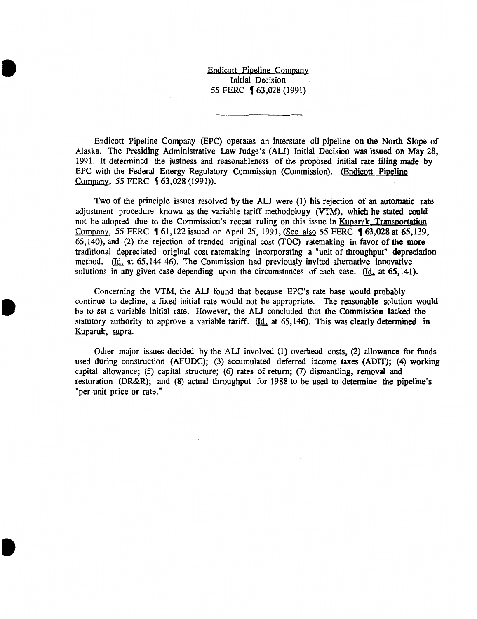Endicott Pipeline Company Initial Decision 55 FERC **[** 63,028 (1991)

**•** 

•

•

Endicott Pipeline Company (EPC) operates an interstate oil pipeline on the North Slope of Alaska. The Presiding Administrative Law Judge's (AU) Initial Decision was issued on May 28, 1991. It determined the justness and reasonableness of the proposed initial rate filing made by EPC with the Federal Energy Regulatory Commission (Commission). (Endicott Pipeline Company, 55 FERC **1** 63,028 (1991)).

Two of the principle issues resolved by the AU were (1) his rejection of an automatic rate adjustment procedure known as the variable tariff methodology (VTM), which he stated could not be adopted due to the Commission's recent ruling on this issue in Kuparuk Transportation Company, 55 FERC **(61,122** issued on April 25, 1991, (See also 55 FERC **(63,028 at 65,139,** 65, 140), and (2) the rejection of trended original cost (TOC) ratemaking in favor of the more traditional depreciated original cost ratemaking incorporating a "unit of throughput" depreciation method. (Id. at 65,144-46). The Commission had previously invited alternative innovative solutions in any given case depending upon the circumstances of each case.  $(d_1 \text{ at } 65, 141)$ .

Concerning the VTM, the AU found that because EPC 's rate base would probably continue to decline, a fixed initial rate would not be appropriate. The reasonable solution would be to set a variable initial rate. However, the AU concluded that the Commission lacked the statutory authority to approve a variable tariff.  $\left($ Id, at 65,146). This was clearly determined in Kuparuk, supra.

Other major issues decided by the AU involved (1) overhead costs, (2) allowance for funds used during construction (AFUDC); (3) accumulated deferred income taxes (ADIT); (4) working capital allowance; (5) capital structure; (6) rates of return; (7) dismantling, removal and restoration (DR&R); and (8) actual throughput for 1988 to be used to determine the pipeline's "per-unit price or rate."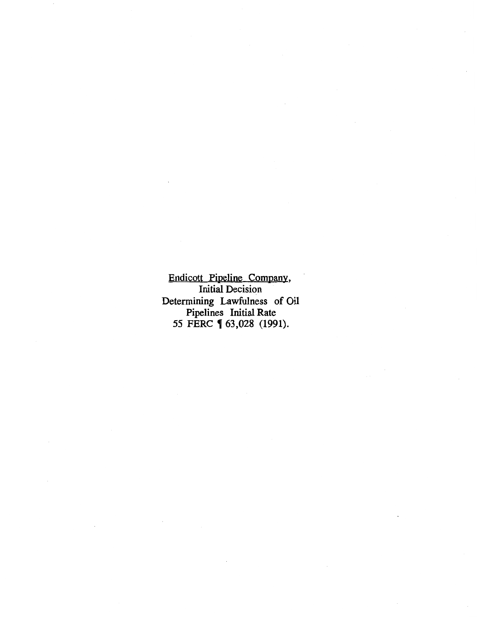Endicott Pipeline Company, Initial Decision Determining Lawfulness of Oil Pipelines Initial Rate *55* FERC , 63,028 (1991).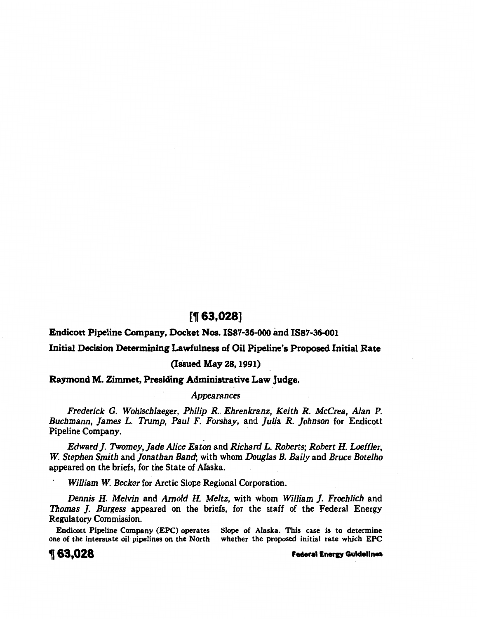# [1f 63,028]

Endicott Pipeline Company, Docket Nos. I887-36-000 and I887-36-001

# Initial Decision Determining Lawfulness of Oil Pipeline's Proposed Initial Rate

# (Issued May 28, 1991)

Raymond M. Zimmet, Presiding Administrative Law Judge.

# *Appearances*

*Frederick G. Wohlschlaeger, Philip R .. Ehrenkranz, Keith R. McCrea, Alan P. Buchmann, James L. Trump, Paul F. Forshay,* and *Julia R. Johnson* for Endicott Pipeline Company.

*Edward]. Twomey, Jade Alice Eaton* and *Richard L. Roberts; Robert H. Loeffler, W. Stephen Smith* and *Jonathan Band;* with whom *Douglas B. Baily* and *Bruce Botelho*  appeared on the briefs, for the State of Alaska.

*William W. Becker* for Arctic Slope Regional Corporation.

*Dennis H. Melvin* and *Arnold H. Meltz,* with whom *William ]. Froehlich* and *Thomas ]. Burgess* appeared on the briefs, for the staff of the Federal Energy Regulatory Commission.

Endicott Pipeline Company (EPC) operates Slope of Alaska. This case is to determine one of the interstate oil pipelines on the North whether the proposed initial rate which EPC whether the proposed initial rate which EPC

1 63,028 Federal Eneru Gulden~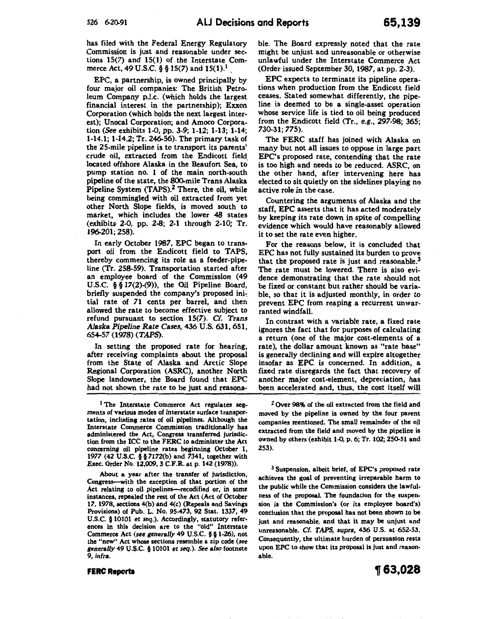has filed with the Federal Energy Regulatory Commission is just and reasonable under sections 15(7) and 15(1) of the Interstate Commerce Act, 49 U.S.C. § § 15(7) and  $15(1)$ .<sup>1</sup>

EPC, a partnership, is owned principally by four major oil companies: The British Petroleum Company p.l.c. (which holds the largest financial interest in the partnership); Exxon Corporation (which holds the next largest interest); Unocal Corporation; and Amoco Corporation (See exhibits 1-0, pp. 3-9; 1-12; 1-13; 1-14; 1-14.1; 1-14.2; Tr. 246-56). The primary task of the 25-mile pipeline is to transport its parents' crude oil, extracted from the Endicott field. located offshore Alaska in the Beaufort Sea, to pump station no. 1 of the main north-south pipeline of the state, the 800-mile Trans Alaska Pipeline System (TAPS).<sup>2</sup> There, the oil, while being commingled with oil extracted from yet other North Slope fields, is moved south to market, which includes the lower 48 states (exhibits- 2-0, pp. 2-8; 2-1 through 2-10; Tr. 196-201; 258).

In early October 1987, EPC began to transport oil from the Endicott field to TAPS, thereby commencing its role as a feeder-pipeline (Tr. 258-59). Transportation started after an employee board of the Commission ( 49 U.S.C. § § 17(2)-(9)), the Oil Pipeline Board, briefly suspended the company's proposed ini~ tial rate of 71 cents per barrel, and then allowed the rate to become effective subject to refund pursuant to section 15(7). *Cf. Trans Alaska Pipeline Rate Cases,* 436 U.S. 631,651, 654-57 (1978) (TAPS).

In setting the proposed rate for hearing, after receiving complaints about the proposal from the State of Alaska and Arctic Slope Regional Corporation (ASRC), another North Slope landowner, the Board found that EPC had not shown the rate to be just and reasona-

<sup>1</sup> The Interstate Commerce Act regulates segments of various modes of interstate surface transportation, including rates of oil pipelines. Although the Interstate Commerce Commission traditionally has administered the Act, Congress transferred jurisdiction from the ICC to the FERC to administer the Act concerning oil pipeline rates beginning October 1, 1977 (42 U.S.C. § § 7172(b) and 7341, together with Exec. Order No. 12,009, 3 C.F.R. at p. 142 (1978)).

About a year after the transfer of jurisdiction, Congress--with the exception of that portion of the Act relating to oil pipelines-recodified or, in some instances, repealed the rest of the Act (Act of October 17, 1978, sections 4(b) and 4(c} (Repeals and Savings Provisions) of Pub. L. No. 95-473, 92 Stat. 1337, 49 U.S.C. § 10101 et seq.). Accordingly, statutory references in this decision are to the "old" Interstate Commerce Act (see generally 49 U.S.C. § § 1-26), not the "new" Act whose sections resemble a zip code (see *generally* 49 U.S.C. § 10101 et seq.). See *also* footnote 9, *infra.* 

might be unjust and unreasonable or otherwise unlawful under the Interstate Commerce Act (Order issued September 30, 1987, at pp. 2-3).

EPC expects to terminate its pipeline operations when production from the Endicott field ceases. Stated somewhat differently, the pipeline is deemed to be a single-asset operation whose service life is tied to oil being produced from the Endicott field (Tr., e.g., 297-98; 365; 730-31; 775).

ble. The Board expressly noted that the rate

The FERC staff has joined with Alaska on many but not all issues to oppose in large part EPC's proposed rate, contending that the rate is too high and needs to be reduced. ASRC, on the other hand, after intervening here has elected to sit quietly on the sidelines playing no active role in the case.

Countering the arguments of Alaska and the staff, EPC asserts that it has acted moderately by keeping its rate down in spite of compelling evidence which would have reasonably allowed it to set the rate even higher.

For the reasons below, it is concluded that EPC has not fully sustained its burden to prove that the proposed rate is just and reasonable.<sup>3</sup> The rate must be lowered. There is also evidence demonstrating that the rate should not be fixed or constant but rather should be variable, so that it is adjusted monthly, in order to prevent EPC from reaping a recurrent unwarranted windfall.

In contrast with a variable rate, a fixed rate ignores the fact that for purposes of calculating a return (one of the major cost-elements of a rate), the dollar amount known as "rate base" is generally declining and will expire altogether insofar as EPC is concerned. In addition, a fixed rate disregards the fact that recovery of another major cost-element, depreciation, has been accelerated and, thus, the cost itself will

<sup>2</sup> Over 98% of the oil extracted from the field and moved by the pipeline is owned by the four parent companies mentioned. The small remainder of the oil extracted from the field and moved by the pipeline is owned by others (exhibit 1-0, p. 6; Tr. 102; 250-51 and 253).

3 Suspension, albeit brief, of EPC's proposed rate achieves the goal of preventing irreparable harm to the public while the Commission considers the lawfulness of the proposal. The foundation for the suspension is the Commission's (or its employee board's) conclusion that the proposal has not been shown to be just and reasonable, and that it may be unjust and unreasonable. Cf. TAPS, supra, 436 U.S. at 652-53. Consequently, the ultimate burden of persuasion rests upon EPC to show that its proposal is just and reasonable.

#### **FERC Reports**

~63,028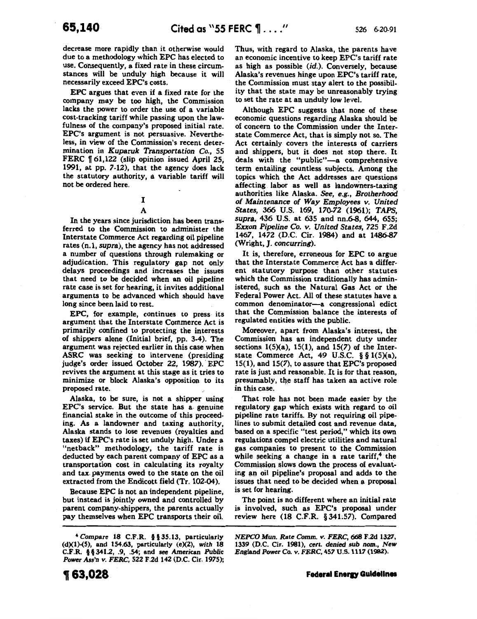decrease more rapidly than it otherwise would due to a methodology which EPC has elected to use. Consequently, a fixed rate in these circumstances will be unduly high because it will necessarily exceed EPC's costs.

EPC argues that even if a fixed rate for the company may be too high, the Commission lacks the power to order the use of a variable cost-tracking tariff while passing upon the lawfulness of the company's proposed initial rate. EPC's argument is not persuasive. Nevertheless, in view of the Commission's recent determination in *Kuparuk Transportation* Co., 55 FERC  $\llbracket 61,122 \rrbracket$  (slip opinion issued April 25, 1991, at pp. 7-12), that the agency does lack the statutory authority, a variable tariff will not be ordered here.

A

In the years since jurisdiction has been trans· ferred to the Commission to administer the Interstate Commerce Act regarding oil pipeline rates (n.1, *supra),* the agency has not addressed a number of questions through rulemaking or adjudication. This regulatory gap not only delays proceedings and increases the issues that need to be decided when an oil pipeline rate case is set for hearing, it invites additional arguments to be advanced which should have long since been laid to rest.

EPC, for example, continues to press its argument that the Interstate Commerce Act is primarily confined to protecting the interests of shippers alone (Initial brief, pp. 3-4). The argument was rejected earlier in this case when ASRC was seeking to intervene (presiding judge's order issued October 22, 1987). EPC revives the argument at this stage as it tries to minimize or block Alaska's opposition to its proposed rate.

Alaska, to be sure, is not a shipper using EPC's service. But the state has a. genuine financial stake in the outcome of this proceeding. As a landowner and taxing authority, Alaska stands to lose revenues (royalties and taxes) if EPC's rate is set unduly high. Under a "netback" methodology, the tariff rate is deducted by each parent company of EPC as a transportation cost in calculating its royalty and tax. payments owed to the state on the oil extracted from the Endicott field (Tr. 102-04).

Because EPC is not an independent pipeline, but instead is jointly owned and controlled by parent company-shippers, the parents actually pay themselves when EPC transports their oil. Thus, with regard to Alaska, the parents have an economic incentive to keep EPC's tariff rate as high as possible (id.). Conversely, because Alaska's revenues hinge upon EPC's tariff rate, the Commission must stay alert to the possibility that the state may be unreasonably trying to set the rate at an unduly low level.

Although EPC suggests that none of these economic questions regarding Alaska should be of concern to the Commission under the Interstate Commerce Act, that is simply not so. The Act certainly covers the interests of carriers and shippers, but it does not stop there. It deals with the "public"-a comprehensive term entailing countless subjects. Among the topics. which the Act addresses are questions affecting labor as well as landowners-taxing authorities like Alaska. See, *e.g., Brotherhood of Maintenance of Way Employees v. United States,* 366 U.S. 169, 170-72 (1961); *TAPS, supra,* 436 U.S. at 635 and nn.6-8, 644, 655; *Exxon Pipeline Co. v. United States, 725* F.2d 1467, 1472 (D.C. Cir. 1984) and at 1486-87 (Wright, J. *concurring).* 

It is, therefore, erroneous for EPC to argue that the Interstate Commerce Act has a different statutory purpose than other statutes which the Commission traditionally has administered, such as the Natural Gas Act or the Federal Power Act. All of these statutes have a common denominator-a congressional edict that the Commission balance the interests of regulated entities with the public.

Moreover, apart from Alaska's interest, the Commission has an independent duty under sections.  $1(5)(a)$ ,  $15(1)$ , and  $15(7)$  of the Interstate. Commerce Act, 49 U.S.C. § §  $1(5)(a)$ , 15(1), and 15(7), to assure that EPC's proposed rate is just and reasonable. It is for that reason, presumably, the staff has taken an active role in this case.

That role has not been made easier by the regulatory gap which exists with regard to oil pipeline rate tariffs. By not requiring oil pipelines to submit detailed cost and. revenue data, based on a specific "test period," which its own regulations compel electric utilities and natural gas companies to present to the Commission while seeking a change in a rate tariff,<sup>4</sup> the Commission slows down the process of evaluating an oil pipeline's proposal and adds to the issues that need to be decided when a proposal is set for hearing.

The point is no different where an initial rate is involved, such as EPC's proposal under review here (18 C.F.R. § 34L57). Compared

*NEPCO Mun. Rate* Comm. *v. FERC, 668* F.2d 1327, 1339 (D.C. Cir. 1981), *cert. denied sub nom., New England* Power Co. *v. FERC,* 457 U.S. 1117 (1982).

I

<sup>4</sup>*Compare* 18 C.F.R. § § 35.13, particularly  $(d)(1)-(5)$ , and 154.63, particularly  $(e)(2)$ , with 18 C.F.R. § §341.2, .9, .54; and see American *Public Power Ass'n v. FERC,* 522 F.2d 142 (D.C. Cir. 1975);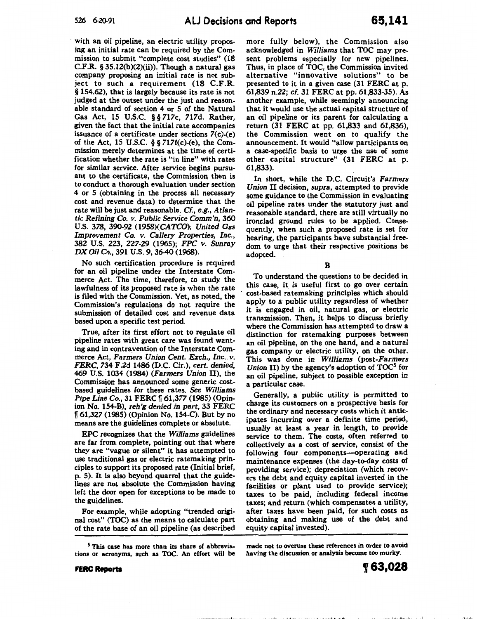with an oil pipeline, an electric utility proposing an initial rate can be required by the Commission to submit "complete cost studies" (18 C.F.R.  $\S 35.12(b)(2)(ii)$ ). Though a natural gas company proposing an initial rate is not subject to such a requirement (18 C.F.R. § 154.62), that is largely because its rate is not judged at the outset under the just and reasonable standard of section 4 or 5 of the Natural Gas Act, 15 U.S.C. § § *717c, 717d.* Rather, given the fact that the initial rate accompanies issuance of a certificate under sections 7(c)-(e) of the Act, 15 U.S.C. § § 717f(c)-(e), the Commission merely determines at the time of certification whether the rate is "in line" with rates for similar service. After service begins pursuant to the certificate, the Commission then is to conduct a thorough evaluation under section 4 or 5 (obtaining in the process all necessary cost and revenue data) to determine that the rate will be just and reasonable. *Cf.,* e.g., *Atlantic Refining* Co. v. *Public Service Comm'n,* 360 U.S. 378, 390-92 (1958)(CATCO); *United Gas Improvement* Co. *v. Callery Properties, Inc.,*  382 U.S. 223, 227-29 (1965); *FPC v.* Sunray *DX Oil* Co., 391 U.S. 9, 36-40 (1968).

No such certification procedure is required for an oil pipeline under the Interstate Commerce Act. The time, therefore, to study the lawfulness of its proposed rate is when the rate is filed with the Commission. Yet, as noted, the Commission's regulations do not require the submission of detailed cost and revenue data based upon a specific test period.

True, after its first effort not to regulate oil pipeline rates with great care was found wanting and in contravention of the Interstate Commerce Act, Farmers Union Cent. Exch., Inc. v. *FERC,* 734 F.2d 1486 (D.C. Cir.), *cert. denied,*  469 U.S. 1034 (1984) *(Farmers Union* II), the Commission has announced some generic costbased guidelines for these rates. See *Williams Pipe Line Co.*, 31 FERC | 61,377 (1985) (Opinion No. 154-B), *reh'g denied in part,* 33 FERC 1f 61,327 (1985) (Opinion No. 154-C). But by no means are the guidelines complete or absolute.

EPC recognizes that the *Williams* guidelines are far from complete, pointing out that where they are "vague or silent" it has attempted to use traditional gas or electric ratemaking principles to support its proposed rate (Initial brief, p. 5). It is also beyond quarrel that the guidelines are not absolute the Commission having left the door open for exceptions to be made to the guidelines.

For example, while adopting "trended original cost" (TOC) as the means to calculate part of the rate base of an oil pipeline (as described

more fully below), the Commission also acknowledged in *Williams* that TOC may present problems especially for new pipelines. Thus, in place of TOC, the Commission invited alternative "innovative solutions" to be presented to it in a given case (31 FERC at p. 61,839 n.22; cf. 31 FERC at pp. 61,833-35). As another example, while seemingly announcing that it would use the actual capital structure of an oil pipeline or its parent for calculating a return (31 FERC at pp. 61,833 and 61,836), the Commission went on to qualify the announcement. It would "allow participants on a case-specific basis to urge the use of some other capital structure" (31 FERC at p. 61,833).

In short, while the D.C. Circuit's *Farmers Union* II decision, *supra,* attempted to provide some guidance to the Commission in evaluating oil pipeline rates under the statutory just and reasonable standard, there are still virtually no ironclad ground rules to be applied. Consequently, when such a proposed rate is set for hearing, the participants have substantial freedom to urge that their respective positions be adopted.

B

To understand the questions to be decided in this case, it is useful first to go over certain cost-based ratemaking principles which should apply to a public utility regardless of whether it is engaged in oil, natural gas, or electric transmission. Then, it helps to discuss briefly where the Commission has attempted to draw a distinction for ratemaking purposes between an oil pipeline, on the one hand, and a natural gas company or electric utility, on the other. This was done in *Williams* (post-Farmers *Union II*) by the agency's adoption of TOC<sup>5</sup> for an oil pipeline, subject to possible exception in a particular case.

Generally, a public utility is permitted to charge its customers on a prospective basis for the ordinary and necessary costs which it anticipates incurring over a definite time period, usually at least a year in length, to provide service to them. The costs, often referred to collectively as a cost of service, consist of the following four components-operating and maintenance expenses (the day-to-day costs of providing service); depreciation (which recovers the debt and equity capital invested in the facilities or plant used to provide service); taxes to be paid, including federal income taxes; and return (which compensates a utility, after taxes have been paid, for such costs as obtaining and making use of the debt and equity capital invested).

made not to overuse these references in order to avoid having the discussion or analysis become too murky.

<sup>5</sup> This case has more than its share of abbreviations or acronyms, such as TOC. An effort will be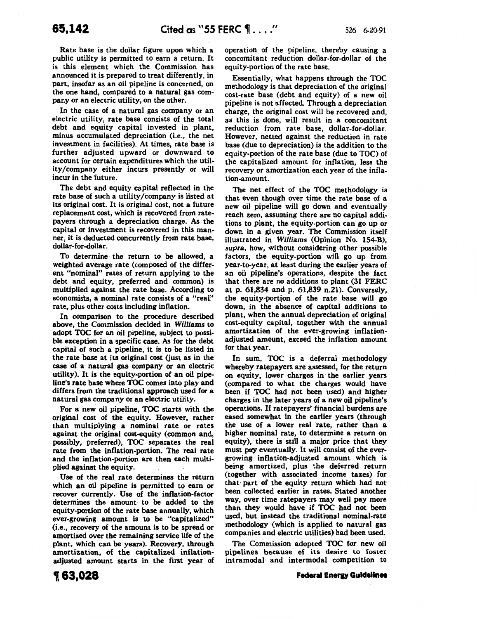Rate base is the dollar figure upon which a public utility is permitted to earn a return. It is this element which the Commission has announced it is prepared to treat differently, in part, insofar as an oil pipeline is concerned, on the one hand, compared to a natural gas company or an electric utility, on the other.

In the case of a natural gas company or an electric utility, rate base consists of the total debt and equity capital invested in plant, minus accumulated depreciation (i.e., the net investment in facilities). At times, rate base is further adjusted upward or downward to account for certain expenditures which the utility/company either incurs presently or will incur in the future.

The debt and equity capital reflected in the rate base of such a utility/company is listed at its original cost. It is original cost, not a future replacement cost, which is recovered from ratepayers through a depreciation charge. As the capital or investment is recovered in this manner, it is deducted concurrently from rate base, dollar-for-dollar.

To determine the return to be allowed, a weighted average rate (composed of the different "nominal" rates of return applying to the debt and equity, preferred and common) is multiplied against the rate base. According to economists, a nominal rate consists of a "real" rate, plus other costs including inflation.

In comparison to the procedure described above, the Commission decided in *Williams* to adopt TOC for an oil pipeline, subject to possible exception in a specific case. As for the debt capital of such a pipeline, it is to be listed in the rate base at its original cost (just as in the case of a natural gas company or an electric utility). It is the equity-portion of an oil pipeline's rate base where TOC comes into play and differs from the traditional approach used for a natural gas company or an electric utility.

For a new oil pipeline, TOC starts with the original cost of the equity. However, rather than multiplying a nominal rate or rates against the original cost-equity (common and, possibly, preferred), TOC separates the real rate from the inflation-portion. The real rate and the inflation-portion are then each multiplied against the equity.

Use of the real rate determines the return which an oil pipeline is permitted to earn or recover currently. Use of the inflation-factor determines the amount to be added to the equity-portion of the rate base annually, which ever-growing amount is to be "capitalized" (i.e., recovery of the amount is to be spread or amortized over the remaining service life of the plant, which can be years). Recovery, through amortization, of the capitalized inflationadjusted amount starts in the first year of operation of the pipeline, thereby causing a concomitant reduction dollar-for-dollar of the equity-portion of the rate base.

Essentially, what happens through the TOC methodology is that depreciation of the original cost-rate base (debt and equity) of a new oil pipeline is not affected. Through a depreciation charge, the original cost will be recovered and, as this is done, will result in a concomitant reduction from rate base, dollar-for-dollar. However, netted against the reduction in rate base (due to depreciation) is the addition to the equity-portion of the rate base (due to TOC) of the capitalized amount for inflation, less the recovery or amortization each year of the inflation-amount.

The net effect of the TOC methodology is that even though over time the rate base of a new oil pipeline will go down and eventually reach zero, assuming there are no capital additions to plant, the equity-portion can go up or down in a given year. The Commission itself illustrated in *Williams* (Opinion No. 154-B), *supra,* how, without considering other possible factors, the equity-portion will go up from year-to-year, at least during the earlier years of an oil pipeline's operations, despite the fact that there are no additions to plant (31 FERC at p. 61,834 and p. 61,839 n.21). Conversely, the equity-portion of the rate base will go down, in the absence of capital additions to plant, when the annual depreciation of original cost-equity capital, together with the annual amortization of the ever-growing inflationadjusted amount, exceed the inflation amount for that year.

In sum, TOC is a deferral methodology whereby ratepayers are assessed, for the return on equity, lower charges in· the earlier years (compared to what the charges would have been if TOC had not been used) and higher charges in the later years of a new oil pipeline's operations. If ratepayers' financial burdens are eased somewhat in the earlier years (through the use of a lower real rate, rather than a higher nominal rate, to determine a return on equity), there is still a major price that they must pay eventually. It will consist of the evergrowing inflation-adjusted amount which is being amortized, plus the deferred return (together with associated income taxes) for that· part of the equity return which had not been collected earlier in rates. Stated another way, over time ratepayers may well pay more than they would have if TOC had not been used, but instead the traditional nominal-rate methodology (which is applied to natural gas companies and electric utilities) had been used.

The Commission adopted TOC for new oil pipelines because of its desire to foster intramodal and intermodal competition to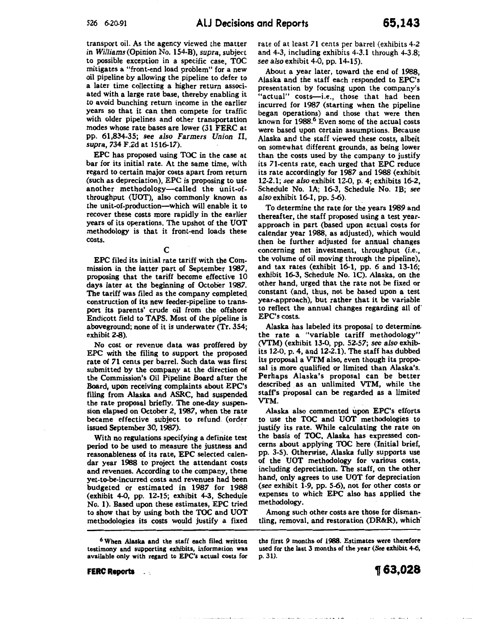transport oil. As the agency viewed the matter in *Williams* (Opinion No. 154-B), *supra,* subject to possible exception in a specific case, TOC mitigates a "front-end load oroblem" for a new oil pipeline by allowing the pipeline to defer to a later time collecting a higher return associated with a large rate base, thereby enabling it to avoid bunching return income in the earlier years so that it can then compete for traffic with older pipelines and other transportation modes whose rate bases are lower (31 FERC at pp. 61,834-35; see *also Farmers Union* II, *supra,* 734 F.Zd at 1516-17).

EPC has proposed using TOC in the case at bar for its initial rate. At the same time, with regard to certain major costs apart from return (such as depreciation), EPC is proposing to use another methodology--called the unit-ofthroughput (UOT), also commonly known as the unit-of-production-which will enable it to recover these costs more rapidly in the earlier years of its operations. The upshot of the UOT methodology is that it front-end loads these costs.

#### c

EPC filed its initial rate tariff with the Commission in the latter part of September 1987, proposing that the tariff become effective 10 days later at the beginning of October 1987. The tariff was filed as the company completed\_ construction of its new feeder-pipeline to transport its parents' crude oil from the offshore Endicott field to TAPS. Most of the pipeline is aboveground; none of it is underwater (Tr. 354; exhibit 2-8).

No cost or revenue data was proffered by EPC with the filing to support the proposed rate of 71 cents per barrel. Such data was first submitted by the company at the direction of the Commission's Oil Pipeline Board after the Board, upon receiving complaints about EPC's filing from Alaska and ASRC, had suspended the rate proposal briefly. The one-day suspension elapsed on October 2, 1987, when the rate became effective subject to refund. (order issued September 30, 1987).

With no regulations specifying a definite test period to be used to measure the justness and reasonableness of its rate, EPC selected calendar year 1988 io project the attendant costs and revenues. According to the company, these yet-to-be-incurred costs and revenues had been budgeted or estimated in 1987 for 1988 (exhibit 4-0, pp. 12-15; exhibit 4-3, Schedule No. **1).** Based upon these estimates, EPC tried to show that by using both the TOC and UOT methodologies its costs would justify a fixed

<sup>6</sup>When Alaska and the staff each filed written testimony and supporting exhibits, information was available only with regard to EPC's actual costs for

**FERC Reports**   $\sim$  10 rate of at least 71 cents per barrel (exhibits 4-2 and 4-3, including exhibits 4-3.1 through 4-3.8; *see also* exhibit 4-0, pp. 14-15).

About a year later, toward the end of 1988, Alaska and the staff each responded to EPC's presentation by focusing upon the company's "actual" costs-i.e., those that had been incurred for 1987 (starting when the pipeline began operations) and those that were then known for 1988.<sup>6</sup> Even some of the actual costs were based upon certain assumptions. Because Alaska and the staff viewed these costs, albeit on somewhat different grounds, as being lower than the costs used by the company to justify its 71-cents rate, each urged that EPC reduce its rate accordingly for 1987 and 1988 (exhibit 12-2.1; see *also* exhibit 12-0, p. 4; exhibits 16-2, Schedule No. 1A; 16-3, Schedule No. 1B; see *also* exhibit 16-1, pp. 5-6).

To determine the rate for the years 1989 and thereafter, the staff proposed using a test yearapproach in part (based upon actual costs for calendar year 1988, as adjusted), which would then be further adjusted for annual changes concerning net investment, throughput (i.e., the volume of oil moving through the pipeline), and tax rates (exhibit 16-1, pp. 6 and 13-16; exhibit 16-3, Schedule No. 1C). Alaska, on the other hand, urged that the rate not be fixed or constant (and, thus, not be based upon a test year-approach), but rather that it be variable to reflect the annual changes regarding all of' EPC's costs.

Alaska. has labeled its proposal to determine. the rate a "variable tariff methodology" (VTM) (exhibit 13-0, pp. 52-57; see *also* exhibits 12-0, p. 4, and 12-2.1). The staff has dubbed its proposal a VTM also, even though its proposal is more qualified or limited than Alaska's. Perhaps Alaska's proposal can be better described as an unlimited VTM, while the staff's proposal can be regarded as a limited VTM.

Alaska also commented upon EPC's efforts to use the TOC and UOT methodologies to justify its rate. While calculating the rate on the basis of TOC, Alaska has expressed concerns about applying TOC here (Initial brief, pp. 3-5). Otherwise, Alaska fully supports use of the UOT methodology for various costs, including depreciation. The staff, on the other hand, only agrees to use UOT for depreciation (see exhibit 1-9, pp. 5-6), not for other costs or expenses to which EPC also has applied the methodology.

Among such other costs are those for dismantling, removal, and restoration (DR&R), which-

the first 9 months of 1988. Estimates were therefore used for the last 3 months of the year (See exhibit 4-6, p. 31).

 $\mathbf{a}$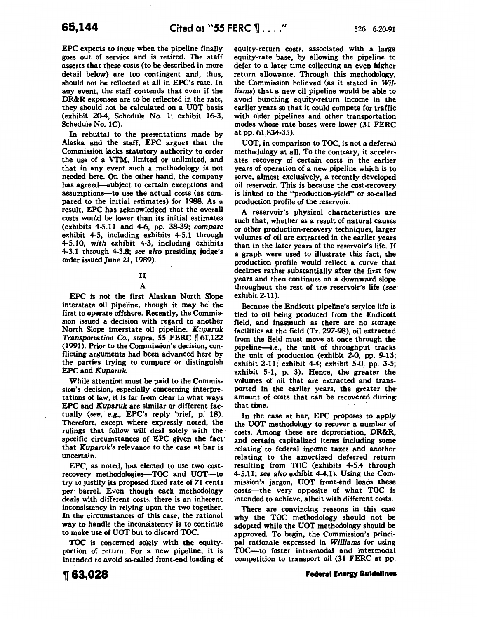EPC expects to incur when the pipeline finally goes out of service and is retired. The staff asserts that these costs (to be described in more detail below) are too contingent and, thus, should not be reflected at all in EPC's rate. In any event, the staff contends that even if the DR&R expenses are to be reflected in the rate, they should not be calculated on a UOT basis (exhibit 20-4, Schedule No. 1; exhibit 16-3, Schedule No. 1C).

In rebuttal to the presentations made by Alaska and the staff, EPC argues that the Commission lacks statutory authority to order the use of a VTM, limited or unlimited, and that in any event such a methodology is not needed here. On the other hand, the company has agreed-subject to certain exceptions and assumptions-to use the actual costs (as compared to the initial estimates) for 1988. As a result, EPC has acknowledged that the overall costs would be lower than its initial estimates (exhibits 4-5.11 and 4-6, pp. 38-39; *compare*  exhibit 4-5, including exhibits 4-5.1 through 4-5.10, *with* exhibit 4-3, including exhibits 4-3.1 through 4-3.8; *see also* presiding judge's order issued June 21, 1989).

# II

#### A

EPC is not the first Alaskan North Slope interstate oil pipeline, though it may be the first to operate offshore. Recently, the Commission issued a decision with regard to another North Slope interstate oil pipeline. *Kuparuk Transportation Co., supra, 55 FERC* 161,122 (1991). Prior to the Commission's decision, conflicting arguments had been advanced here by the parties trying to compare' or distinguish EPC and *Kuparuk.* 

While attention must be paid to the Commission's decision, especially concerning interpretations of law, it is far from clear in what ways EPC and *Kuparuk* are similar or different factually *(see, e.g., EPC's reply brief, p. 18).* Therefore, except where expressly noted, the rulings that follow will deal solely with the specific circumstances of *EPC* given the fact· that *Kuparuk's* relevance to the case at bar is uncertain.

EPC, as noted, has elected to use two costrecovery methodologies-TOC and UOT-to try to justify its proposed fixed rate of 71 cents per· barrel. Even though each methodology deals with different costs, there is an inherent inconsistency in relying upon the two together. In the circumstances of this case, the rational way to handle the inconsistency is to continue to make use of UOT but to discard TOC.

TOC is concerned solely with the equityportion of return. For a new pipeline, it is intended to avoid so-called front-end loading of equity-return costs, associated with a large equity-rate base, by allowing the pipeline to defer to a later time collecting an even higher return allowance. Through this methodology, the Commission believed (as it stated in *Williams)* that a new oil pipeline would be able to avoid bunching equity-return income in the earlier years so that it could compete for traffic with older pipelines and other transportation modes whose rate bases were lower (31 FERC at pp. 61,834-35).

UOT, in comparison to TOC, is not a deferral methodology at all. To the contrary, it accelerates recovery of certain costs in the earlier years of operation of a new pipeline which is to serve, almost exclusively, a recently developed oil reservoir. This is because the cost-recovery is linked to the "production-yield" or so-called production profile of the reservoir.

A reservoir's physical characteristics are such that, whether as a result of natural causes or other production-recovery techniques, larger volumes of oil are extracted in the earlier years than in the later years of the reservoir's life. If a graph were used to illustrate this fact, the production profile would reflect a curve that declines rather substantially after the first few years and then continues on a downward slope throughout the rest of the reservoir's life *(see*  exhibit 2-11).

Because the Endicott pipeline's seryice life is tied to oil being produced from the Endicott field, and inasmuch as there are no storage facilities at the field (Tr. 297-98), oil extracted from the field must move at once through the pipeline-i.e., the unit of throughput tracks the unit of production (exhibit 2-0, pp. 9-13; exhibit 2-11; exhibit 4-4; exhibit 5-0, pp. 3-5; exhibit 5-1, p. 3). Hence, the greater the volumes of oil that are extracted and transported in the earlier years, the greater the amount of costs that can be recovered during that time.

In the case at bar, EPC proposes to apply the UOT methodology to recover a number of costs. Among these are depreciation, DR&R, and certain capitalized items including some relating to federal income taxes and another relating to the amortized deferred return resulting from TOC (exhibits 4-5.4 through 4-5.11; *see also* exhibit 4-4.1). Using the Commission's jargon, UOT front-end loads these costs—the very opposite of what TOC is intended to achieve, albeit with different costs.

There are convincing reasons in this case why the TOC methodology should not be adopted while the UOT methodology should be approved. To begin, the Commission's principal rationale expressed in *Williams* for using TOC-to foster intramodal and intermodal competition to transport oil (31 FERC at pp.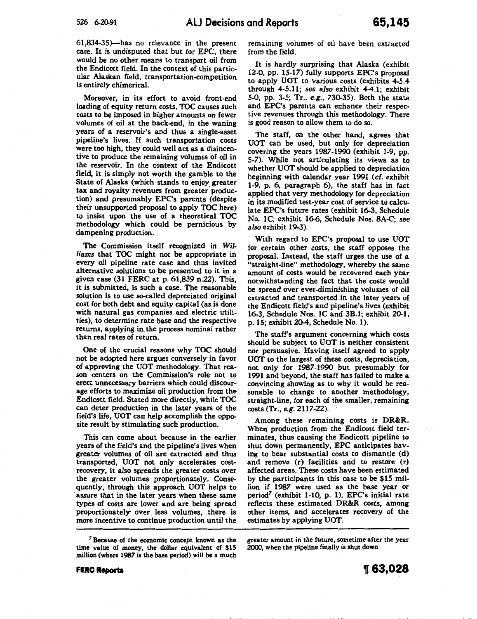61,834-35)-has no relevance in the present case. It is undisputed that but for EPC, there would be no other means to transport oil from the Endicott field. In the context of this particular Alaskan field, transportation-competition is entirely chimerical.

Moreover, in its effort to avoid front-end loading of equity return costs, TOC causes such costs to be imposed in higher amounts on fewer volumes of oil at the back-end, in the waning years of a reservoir's and thus a single-asset pipeline's lives. If such transportation costs were too high, they could well act as a disincentive to produce the remaining volumes of oil in the reservoir. In the context of the Endicott field, it is simply not worth the gamble to the State of Alaska (which stands to enjoy greater tax and royalty revenues from greater production) and presumably EPC's parents (despite their unsupported proposal to apply TOC here) to insist upon the use of a theoretical TOC methodology which could be pernicious by dampening production.

The Commission itself recognized in Wil*liams* that TOC might not be appropriate in every oil pipeline rate case and thus invited alternative solutions to be presented to it in a given case (31 FERC at p. 61,839 n.22). This, it is submitted, is such a case. The reasonable solution is to use so-called depreciated original cost for both debt and equity capital (as is done with natural gas companies and electric utilities), to determine rate base and the respective returns, applying in the process nominal rather than real rates of return.

One of the crucial reasons why TOC should not be adopted here argues conversely· in favor of approving the UOT methodology. That rea son centers on the Commission's role not to erect unnecessary barriers which could discourage efforts to maximize oil production from the Endicott field. Stated more directly, while TOC can deter production in the later years of the· field's life, UOT can help accomplish the opposite result by stimulating such production.

This can come about because in the earlier years of the field's and the pipeline's lives when greater volumes of oil are extracted and thus transported, UOT not only accelerates costrecovery, it also spreads the greater costs over the greater volumes proportionately. Consequently, through this approach UOT helps to assure that in the later years when these same types of costs are lower and are being spread proportionately over less volumes, there is more incentive to continue production until the

remaining volumes of oil have been extracted from the field.

It is hardly surprising that Alaska (exhibit 12-0, pp. 15-17) fully supports EPC's proposal to apply UOT to various costs (exhibits 4-5.4 through 4-5.11; *see also* exhibit 4-4.1; exhibit 5-0, pp. 3-5; Tr., e.g., 730-35). Both the state and EPC's parents can enhance their respective revenues through this methodology. There is good reason to allow them to do so.

The staff, on the other hand, agrees that UOT can be used, but only for depreciation covering the years 1987-1990 (exhibit 1-9, pp. 5-7). While not articulating its views as to whether UOT should be applied to depreciation beginning.with calendar year 1991 (cf. exhibit 1-9, p. 6, paragraph 6), the staff has in fact applied that very methodology for depreciation in its modified test-year cost of service to calculate EPC's future rates (exhibit 16-3, Schedule No. 1C; exhibit 16-6, Schedule Nos. SA-C; *see also* exhibit 19-3).

With regard to EPC's proposal to use UOT for certain other costs, the staff opposes the proposal. Instead, the staff urges the use of a "straight-line" methodology, whereby the same amount of costs would be recovered each year notwithstanding the fact that the costs would be spread over ever-diminishing volumes of oil . extracted and transported in the later years of the Endicott field's and pipeline's lives (exhibit 16-3, Schedule Nos. 1C and 3B.l; exhibit 20-1, p. 15; exhibit 20-4, Schedule No. 1).

The staff's argument concerning which costs should be subject to UOT is neither consistent nor persuasive. Having itself agreed to apply UOT to the largest of these costs, depreciation, not only for 1987-1990 but presumably for 1991 and beyond, the staff has failed to make a convincing showing as to why it would be reasonable to. change to another methodology, straight-line, for each of the smaller, remaining costs (Tr., e.g. 2117~22).

Among these remaining costs is DR&R. When production from the Endicott field terminates, thus causing the Endicott pipeline to shut down permanently, EPC anticipates having to bear substantial costs to dismantle (d) and remove (r) facilities and to restore (r) affected areas. These costs have been estimated by the participants in this case to be \$15 million if 1987 were used as the base year or period<sup>7</sup> (exhibit 1-10, p. 1). EPC's initial rate reflects these estimated DR&R costs, among other items, and accelerates recovery of the estimates by applying UOT.

greater amount in the future, sometime after the year 2000, when the pipeline finally is shut down.

<sup>7</sup>Because of the economic concept known as the time value of money, the dollar equivalent of \$15 million (where 1987 is the base period) will be a much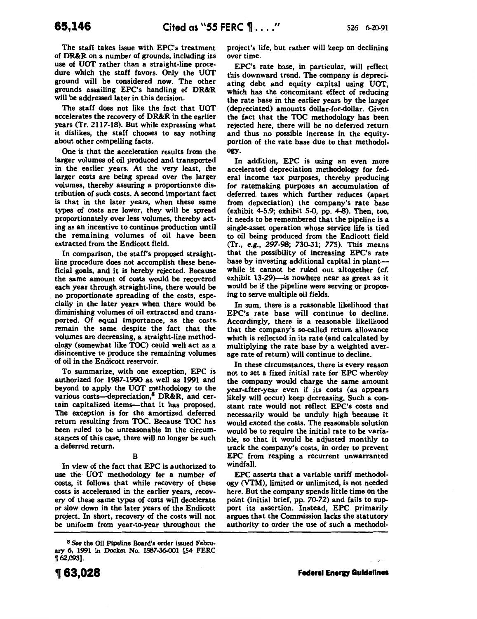The staff takes issue with EPC's treatment of DR&R on a number of grounds, including its use of UOT rather than a straight-line procedure which the staff favors. Only the UOT ground will be considered now. The other grounds assailing EPC's handling of DR&R will be addressed later in this decision.

The staff does not like the fact that UOT accelerates the recovery of DR&R in the earlier years (Tr. 2117-18). But while expressing what it dislikes, the staff chooses to say nothing about other compelling facts.

One is that the acceleration results from the larger volumes of oil produced and transported in the earlier years. At the very least, the larger costs are being spread over the larger volumes, thereby assuring a proportionate distribution of such costs. A second important fact is that in the later years, when these same types of costs are lower, they will be spread proportionately over less volumes, thereby acting as an incentive to continue production until the remaining volumes of oil have been extracted from the Endicott field.

In comparison, the staff's proposed straightline procedure does not accomplish these beneficial goals, and it is hereby rejected. Because the same amount of costs would be recovered each year through straight-line, there would be no proportionate spreading of the costs, especially in the later years when there would be diminishing volumes of oil extracted and transported. Of equal importance, as the costs remain the same despite the fact that the volumes are decreasing, a straight-line methodology (somewhat like TOC) could well act as a disincentive to produce the remaining volumes of oil in the Endicott reservoir.

To summarize, with one exception, EPC is authorized for 1987-1990 as well as 1991 and beyond to apply the UOT methodology to the various costs—depreciation, $8$  DR&R, and certain capitalized items--that it has proposed. The exception is for the amortized deferred return resulting from TOC. Because T0C has been ruled to be unreasonable in the circumstances of this case, there will no longer be such a deferred return.

# B

In view of the fact that EPC is authorized to use the UOT methodology for a number of costs, it follows that while recovery of these costs is accelerated in the earlier years, recovery of these same types of costs will decelerate or slow down in the later years of the Endicott project. In short, recovery of the costs will not be uniform from year-to-year throughout the project's life, but rather will keep on declining over time.

EPC's rate base, in particular, will reflect this downward trend. The company is depreciating debt and equity capital using UOT, which has the concomitant effect of reducing the rate base in the earlier years by the larger (depreciated) amounts dollar-for-dollar. Given the fact that the TOC methodology has been rejected here, there will be no deferred return and thus no possible increase in the equityportion of the rate base due to that methodology.

In addition, EPC is using an even more accelerated depreciation methodology for federal income tax purposes, thereby producing for ratemaking purposes an accumulation of deferred taxes which further reduces (apart from depreciation) the company's rate base (exhibit 4-5.9; exhibit 5-0, pp. 4-8). Then, too, it needs to be remembered that the pipeline is a single-asset operation whose service life is tied to oil being produced from the Endicott field (Tr., e.g., 297-98; 730-31; 775). This means that the possibility of increasing EPC's rate base by investing additional capital in plantwhile it cannot be ruled out altogether (cf. exhibit 13-29)--is nowhere near as great as it would be if the pipeline were serving or proposing to serve multiple oil fields.

In sum, there is a reasonable likelihood that EPC's rate base will continue to decline. Accordingly, there is a reasonable likelihood that the company's so-called return allowance which is reflected in its rate (and calculated by multiplying the rate base by a weighted average rate of return) will continue to decline.

In these circumstances, there is every reason not to set a fixed initial rate for EPC whereby the company would charge the same amount year-after-year even if its costs (as appears likely will occur) keep decreasing. Such a constant rate would not reflect EPC's costs and necessarily would be unduly high because it would exceed the costs. The reasonable solution would be to require the initial rate to be variable, so that it would be adjusted monthly to track the company's costs, in order to prevent EPC from reaping a recurrent unwarranted windfall.

EPC asserts that a variable tariff methodology (VTM), limited or unlimited, is not needed here. But the company spends little time on the point (initial brief, pp. 70-72) and fails to support its assertion. Instead, EPC. primarily argues that the Commission lacks the statutory authority to order the use of such a methodol-

 $\mathcal{L}$ 

<sup>8</sup> See the Oil Pipeline Board's order issued February 6, 1991 in Docket No. 1587-36-001 (54 FERC  $[62,093]$ .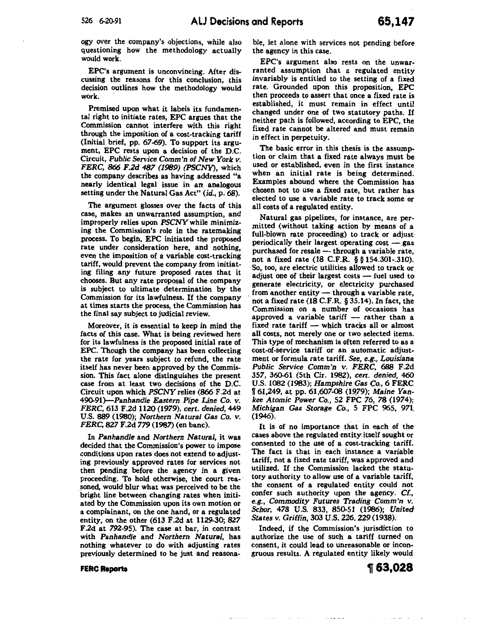ogy over the company's objections, while also questioning how the methodology actually would work.

EPC's argument is unconvincing. After discussing the reasons for this conclusion, this decision outlines how the methodology would work.

Premised upon what it labels its fundamental right to initiate rates, EPC argues that the Commission cannot interfere with this right through the imposition of a cost-tracking tariff (Initial brief, pp. 67-69). To support its argument, EPC rests upon a decision of the D.C. Circuit, *Public Service Comm'n of New York v. FERC, 866 F.2d 487 (1989) (PSCNY),* which the company describes as having addressed "a nearly identical legal issue in an analogous setting under the Natural Gas Act" *(id.,* p. 68).

The argument glosses over the facts of this case, makes an unwarranted assumption, and improperly relies upon *PSCNY* while minimizing the Commission's role in the ratemaking process. To begin, EPC initiated the proposed rate under consideration here, and nothing, even the imposition of a variable cost-tracking tariff, would prevent the company from initiating filing any future proposed rates that it chooses. But any rate proposal of the company is subject to ultimate determination by the Commission for its lawfulness. If the company at times starts the process, the Commission has the final say subject to judicial review.

Moreover, it is essential to keep in mind the facts of this case. What is being reviewed here for its lawfulness is the proposed initial rate of EPC. Though the company has been collecting the rate for years subject to refund, the rate itself has never been approved by the Commission. This fact alone distinguishes the present case from at least two decisions of the D.C. Circuit upon which *PSCNY* relies (866 F.2d at 490-91)-Panhandle *Eastern Pipe Line* Co. *v. FERC,* 613 F.2d 1120 (1979), *cert. denied,* 449 U.S. 889 (1980); *Northern Natural Gas* Co. *v. FERC, 827* F.2d *779* (1987) (en bane).

In *Panhandle* and *Northern Natural,* it was decided that the Commission's power to impose conditions upon rates does not extend to adjusting previously approved rates for services not then pending before the agency in a given proceeding. To hold otherwise, the court reasoned, would blur what was perceived to be the bright line between changing rates when initiated by the Commission upon its own motion or a complainant, on the one hand, or a regulated entity, on the other (613 F.2d at 1129-30; *827*  F.2d at 792-95). The case at bar, in contrast with *Panhandle* and *Northern Natural,* has nothing whatever to do with adjusting rates previously determined to be just and reasonable, let alone with services not pending before the agency in this case.

EPC's argument also rests on the unwarranted assumption that a regulated entity invariably is entitled to the setting of a fixed rate. Grounded upon this proposition, EPC then proceeds to assert that once a fixed rate is established, it must remain in effect until changed under one of two statutory paths. If neither path is followed, according to EPC, the fixed rate cannot be altered and must remain in effect in perpetuity.

The basic error in this thesis is the assumption or claim that a fixed rate always must be used or established, even in the first instance when an initial rate is being determined. Examples abound where the Commission has chosen not to use a fixed rate, but rather has elected to use a variable rate to track some or all costs of a regulated entity.

Natural gas pipelines, for instance, are permitted (without taking action by means of a full-blown rate proceeding) to track or adjust· periodically their largest operating cost  $-$  gas purchased for resale  $-$  through a variable rate, not a fixed rate (18 C.F.R. § § 154.301-.310). So, too, are electric utilities allowed to track or adjust one of their largest costs  $-$  fuel used to generate electricity, or electricity purchased from another entity - through a variable rate, not a fixed rate (18 C.F.R. § 35.14). In fact, the Commission on a number of occasions has approved a variable tariff  $-$  rather than a fixed rate tariff  $-$  which tracks all or almost all costs, not merely one or two selected items. This type of mechanism is often referred to as a cost-of-service tariff or an automatic adjustment or formula rate tariff. See, *e.g., Louisiana Public Service Comm'n v. FERC,* 688 F.2d 357, 360-61 (5th Cir. 1982), *cert. denied,* 460 U.S. 1082 (1983); *Hampshire Gas* Co., 6 FERC W 61,249, at pp. 61,607-08 (1~79); *Maine Yankee Atomic Power* Co., 52 FPC *76, 78* (1974); *Michigan Gas Storage* Co., 5 FPC 965, 97l (1946).

It is of no importance that in each of the cases above the regulated entity: itself sought or consented to the use of a cost-tracking. tariff. The fact is that in each instance a variable tariff, not a fixed rate tariff, was approved and utilized. If the Commission lacked the statutory authority to allow use of a variable tariff, the consent of a regulated entity could not confer such authority upon the agency. Cf., *e.g., Commodity Futures Trading Comm'n v. Schor, 478* U.S. 833, 850-51 (1986); *United States v. Griffin,* 303 U.S. 226,229 (1938).

Indeed, if the Commission's jurisdiction to authorize the use of such a tariff turned on consent, it could lead to unreasonable or incongruous results. A regulated entity likely would

#### **FERC Reports**

~63,028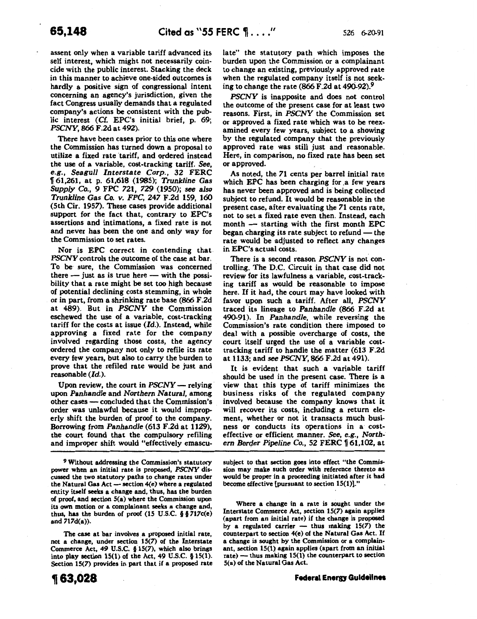assent only when a variable tariff advanced its self interest, which might not necessarily coincide with the public interest. Stacking the deck in this manner to achieve one-sided outcomes is hardly a positive sign of congressional intent concerning an agency's jurisdiction, given the fact Congress usually demands that a regulated company's actions be consistent with the public interest (Cf. EPC's initial brief, p. 69; *PSCNY,* 866 F.2d at 492).

There have been cases prior to this one where the Commission has turned down a proposal to utilize a fixed rate tariff, and ordered instead the use of a variable, cost-tracking tariff. *See, e.g., Seagull Interstate Corp.,* 32 FERC 1f 61,261, at p. 61,618 (1985); *Trunkline Gas Supply Co.,* 9 FPC 721, *729* (1950); *see also Trunkline Gas Co.* v. *FPC,* 247 F.2d 159, 160 (5th Cir. 1957). These cases provide additional support for the fact that, contrary to EPC's assertions and intimations, a fixed rate is not and never has been the one and only way for the Commission to set rates.

Nor is EPC correct in contending that. *PSCNY* controls the outcome of the case at bar. To be sure, the Commission was concerned there  $-$  just as is true here  $-$  with the possibility that a rate might be set too high because of potential declining costs stemming, in whole or in part, from a shrinking rate base (866 F.2d at 489). But in *PSCNY* the Commission eschewed the use of a variable, cost-tracking tariff for the costs at issue  $(Id.)$ . Instead, while approving a fixed rate for the company involved regarding those costs, the agency ordered the company not only to refile its rate every few years, but also to carry the burden to prove that the refiled rate would be just and reasonable (Id.).

Upon review, the court in *PSCNY* - relying upon *Panhandle* and *Northern Natural,* among other cases - concluded that the Commission's order was unlawful because it would improperly shift the burden of proof to the company. Borrowing from *Panhandle* (613 F.2d at 1129), the court found that the compulsory refiling and improper shift would "effectively emascu-

9 Without addressing the Commission's statutory power when an initial rate is proposed, *PSCNY* discussed the two statutory paths to change rates under the Natural Gas Act  $-$  section  $4(e)$  where a regulated entity itself seeks a change and, thus, has the burden of proof, and section 5(a) where the Commission upon its own motion or a complainant seeks a change and, thus, has the burden of proof  $(15 \text{ U.S.C. } § § 717c(e))$ and 717d(a)).

The case at bar involves a proposed initial rate, not a change, under section 15(7) of the Interstate Commerce Act, 49 U.S.C. § 15(7), which also brings into play section  $15(1)$  of the Act, 49 U.S.C. §  $15(1)$ . Section 15(7) provides in part that if a proposed rate late" the statutory path which imposes the burden upon the Commission or a complainant to change an existing, previously approved rate when the regulated company itself is not seeking to change the rate (866 F.2d at 490-92).9

*PSCNY* is inapposite and does not control the outcome of the present case for at least two reasons. First, in *PSCNY* the Commission set or approved a fixed rate which was to be reexamined every few years, subject to a showing by the regulated company that the previously approved rate was still just and reasonable. Here, in comparison, no fixed rate has been set or approved.

As noted, the 71 cents per barrel initial rate which EPC has been charging for a few years has never been approved and is being collected subject to refund. It would be reasonable in the present case, after evaluating the 71 cents rate, not to set a fixed rate even then. Instead, each  $month$   $\longrightarrow$  starting with the first month EPC began charging its rate subject to refund - the rate would be adjusted to reflect any changes in EPC's actual costs.

There is a second reason *PSCNY* is not controlling. The D.C. Circuit in that case did not review for its lawfulness a variable, cost-tracking tariff as would be reasonable to impose here. If it had, the court may have looked with fa:vor upon such a tariff. After all, *PSCNY*  traced its lineage to *Panhandle* (866 F.2d at 490-91). In *Panhandle,* while reversing the Commission's rate condition there imposed to deal with a possible overcharge of costs, the court itself urged the use of a variable costtracking tariff to handle the matter (613 F .2d at 1133; and *see PSCNY,* 866 F.2d at 491).

It is evident that such a variable tariff should be used in the present case. There is a view that this type of tariff minimizes the business risks of the regulated company involved because the company knows that it will recover its costs, including a return element, whether or not it transacts much business or conducts its operations in a costeffective or efficient manner. See, *e.g., Northern Border Pipeline Co., 52 FERC* 161,102, at

subject to that section goes into effect "the Commission may make such order with reference thereto as would be proper in a proceeding initiated after it had become effective [pursuant to section 15(1)]."

Where a change in a rate is sought under the Interstate Commerce Act, section 15(7) again applies (apart from an initial rate) if the change is proposed by a regulated carrier  $-$  thus making 15(7) the counterpart to section 4(e) of the Natural Gas Act. If. a change is sought by the Commission or a complainant, section 15(1) again applies (apart from an initial rate) - thus making  $15(1)$  the counterpart to section 5(a) of the Natural Gas Act.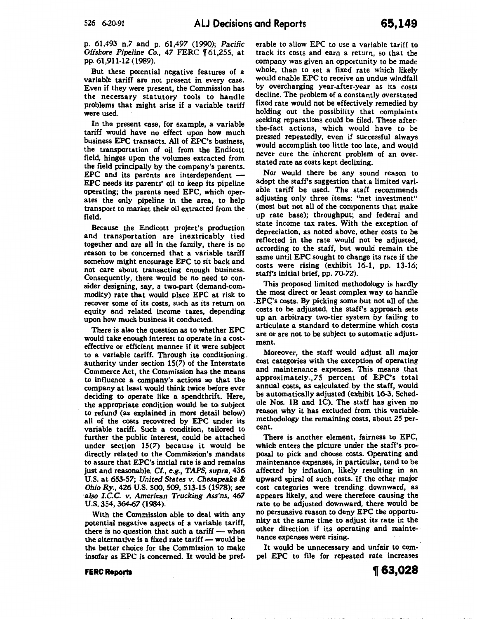p. 61,493 n.7 and p. 61,497 (1990); *Pacific Offshore Pipeline Co., 47 FERC* 161,255, at pp. 61,911-12 (1989).

But these potential negative features of a variable tariff are not present in every case. Even if they were present, the Commission has the necessary statutory tools to handle problems that might arise if a variable tariff were used.

In the present case, for example, a variable tariff would have no effect upon how much business EPC transacts. All of EPC's business, the transportation of oil from the Endicott field, hinges upon the volumes extracted from the field principally by the company's parents. EPC and its parents are interdependent -EPC needs its parents' oil to keep its pipeline operating; the parents need EPC, which operates the only pipeline in the area, to help transport to market their oil extracted from the field.

Because the Endicott project's production and transportation are inextricably tied together and are all in the family, there is no reason to be concerned that a variable tariff somehow might encourage EPC to sit back and not care about transacting enough business. Consequently, there would be no need to consider designing, say, a two-part (demand-commodity) rate that would place EPC at risk to recover some of its costs, such as its return on equity and related income taxes, depending upon how much business it conducted.

There is also the question as to whether EPC would take enough interest to operate in· a costeffective or efficient manner if it were subject to a variable tariff. Through its conditioning. authority under section 15(7) of the Interstate Commerce Act, the Commission has the means to influence a company's actions so that the company at least would think twice before ever deciding to operate like a spendthrift. Here, the appropriate condition would be to. subject to refund (as explained in more detail below) all of the costs recovered by EPC under its variable tariff. Such a condition, tailored to further the public interest, could be attached under section 15(7) because it would be directly related to the Commission's mandate to assure that EPC's initial rate is and remains just and reasonable. *Cf.,* e.g., *TAPS, supra,* 436 U.S. at 653-57; *United States v. Chesapeake* & *Ohio Ry.,* 426 U.S. 500, 509, 513-15 (1978); *see ·also I.C.C. v. American Trucking Ass'ns, 467*  u.s. 354,364-67 (1984).

With the Commission able to deal with any potential negative aspects of a variable tariff, there is no question that such a tariff  $-$  when the alternative is a fixed rate tariff - would be the better choice for the Commission to make insofar as EPC is concerned. It would be preferable to allow EPC to use a variable tariff to track its costs and earn a return, so that the company was given an opportunity to be made whole, than to set a fixed rate which likely would enable EPC to receive an undue windfall by overcharging year-after-year as its costs decline. The problem of a constantly overstated fixed rate would not be effectively remedied by holding out the possibility that complaints seeking reparations could be filed. These afterthe-fact actions, which would have to be pressed repeatedly, even if successful always would accomplish too little too late, and would never cure the inherent problem of an overstated rate as costs kept declining.

Nor would there be any sound reason to adopt the staff's suggestion that.a limited variable tariff be used. The staff recommends adjusting only three items: "net investment" (most but not all of the components that make up rate base); throughput; and federal and state income tax rates. With the exception of depreciation, as noted above, other costs to be reflected in the rate would not be adjusted, according to the staff, but would remain the same until EPC sought to change its rate if the costs were rising (exhibit 16-1, pp. 13-16; staff's initial brief, pp. 70-72).

This proposed limited methodology is hardly the most direct or least complex way to handle . EPC's costs. By picking some but not all of the. costs to be adjusted, the staff's approach sets up an arbitrary two-tier system by failing to articulate a standard to determine which costs are or are not to be subject to automatic adjustment.

Moreover, the staff would adjust all major cost categories with the exception of operating and maintenance expenses. This means that approximately *.,,75* percent of EPC's total annual costs, as calculated by the staff, would be automatically adjusted (exhibit 16-3, Schedule Nos. 1B and 1C). The staff has given no reason why it has excluded from this variable methodology the remaining costs, about 25 percent.

There is another element, fairness to EPC, which enters the picture under the staff's proposal to pick and choose costs. Operating and maintenance expenses, in particular, tend to be affected by inflation, likely resuliing in an upward spiral of such costs. If the other major cost categories were trending downward, as appears likely, and were therefore causing the rate to be adjusted downward, there would be no persuasive reason to deny EPC the opportunity at the same time to adjust its rate in the other direction if its operating and maintenance expenses were rising.

It would be unnecessary and unfair to compel EPC to file for repeated rate increases

### **FERC Reports**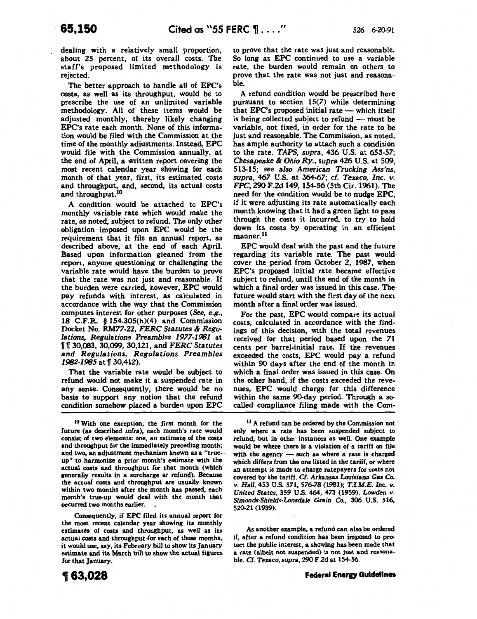dealing with a relatively small proportion, about 25 percent, of its overall costs. The staff's proposed limited methodology is rejected.

The better approach to handle all of EPC's costs, as well as its throughput, would be to prescribe the use of an unlimited variable methodology. All of these items would be adjusted monthly, thereby likely changing EPC's rate each month. None of this information would be filed with the Commission at the time of the monthly adjustments. Instead, EPC would file with the Commission annually, at the end of April, a written report covering the most recent calendar year showing for each month of that year, first, its estimated costs and throughput, and, second, its actual costs and throughput.<sup>10</sup>

A condition would be attached to EPC's monthly variable rate which would make the rate, as noted, subject to refund. The only other obligation imposed upon EPC would be the requirement that it file an annual report, as described above, at the end of each April. Based upon information gleaned from the report, anyone questioning or challenging the variable rate would have the burden to prove that the rate was not just and reasonable. If the burden were carried, however, EPC would pay refunds with interest, as calculated in accordance with the way that the Commission computes interest for other purposes (See, e.g., 18 C.F.R. § 154.305(h)(4) and Commission Docket No. *RM77-22, FERC Statutes* & *Regulations, Regulations Preambles* 1977-1981 at 1f 1f 30,083, 30,099, 30,121, and *FERC Statutes and Regulations, Regulations Preambles*  1982-1985 at || 30,412).

That the variable rate would be subject to refund would not make it a suspended rate in any sense. Consequently, there would be no basis to support any notion that the refund condition somehow placed a burden upon EPC

10 With one exception, the first month for the future (as described *infra),* each month's rate would consist of two elements: one, an estimate of the costs and throughput for the immediately preceding month; and two, an adjustment mechanism known as a "trueup" to harmonize a prior month's estimate with the actual costs and throughput for that month (which generally results in a surcharge or refund). Because the actual costs and throughput are usually known within two months after the month has passed, each month's true-up would deal with the month that occurred two months earlier.

Consequently, if EPC filed its annual report for the most recent calendar year showing its monthly estimates of costs and throughput, as well as its actual costs and throughput for each of those months, it would use, say, its February bill to show its January estimate and its March bill to show the actual figures for that January.

to prove that the rate was just and reasonable. So long as EPC continued to use a variable rate, the burden would remain on others to prove that the rate was not just and reasonable.

A refund condition would be prescribed here pursuant to section 15(7) while determining that EPC's proposed initial rate  $-$  which itself is being collected subject to refund  $-$  must be variable, not fixed, in order for the rate to be just and reasonable. The Commission, as noted, has ample authority to attach such a condition to the rate. *TAPS, supra,* 436 U.S. at *653-57; Chesapeake* & *Ohio Ry., supra* 426 U.S. at 509, 513-15; *see also American Trucking Ass'ns, supra, 467* U.S. at *364-67; cf. Texaco, Inc. v. FPC*, 290 F.2d 149, 154-56 (5th Cir. 1961). The need for the condition would be to nudge EPC, if it were adjusting its rate automatically each month knowing that it had a green light to pass through the costs it incurred, to try to hold down its costs by operating in an efficient manner.11

EPC would deal with the past and the future regarding its variable rate. The past would cover the period from October 2, 1987, when EPC's proposed initial rate became effective subject to refund, until the end of the month in which a final order was issued in this case. The future would start with the first day of the next month after a final order was issued.

For the past, EPC would compare its actual costs, calculated in accordance with the findings of this decision, with the total revenues received for that period based upon the 71 cents per barrel-initial rate. If the revenues exceeded the costs, EPC would pay a refund within 90 days after the end of the month in which a final order was issued in this case. On the other hand, if the costs exceeded the revenues, EPC would· charge for this difference within the same 90-day period. Through a socalled compliance filing made. with the Com-

<sup>11</sup> A refund can be ordered by the Commission not only where a rate has been suspended subject to refund, but in other instances as well. One example would be where there is a violation of a tariff on file with the agency  $-$  such as where a rate is charged which differs from the one listed in the tariff, or where an attempt is made to charge ratepayers for costs not covered by the tariff. Cf. Arkansas Louisiana Gas Co.. v. *Hall,* 453 U.S. 571, *576-78* (1981); *T.I.M.E. Inc. v. United* States, 359 U.S. 464, 473 (1959); *Lowden v. Simonds-Shields-Lonsdale Grain* Co., 306 U.S. 516, 520-21 (1939).

As another example, a refund can also be ordered if, after a refund condition has been imposed to protect the public interest, a showing has been made that a rate (albeit not suspended) is not just and reasonable. *Cf. Texaco,* supra, 290 F 2d at 154-56.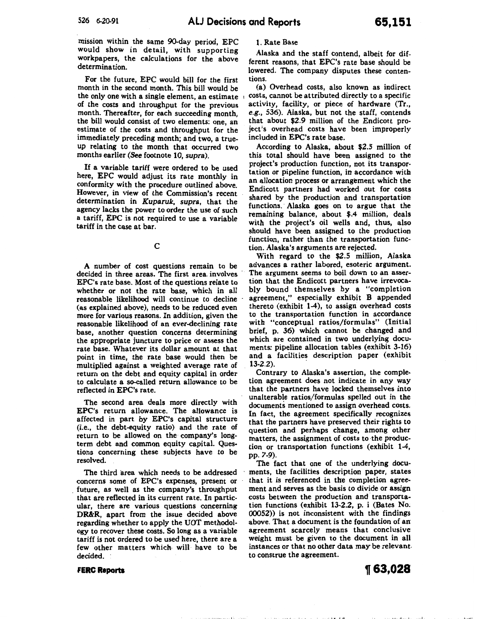mission within the same 90-day period, EPC would show in detail, with supporting workpapers, the calculations for the above determination.

For the future, EPC would bill for the first month in the second month. This bill would be the only one with a single element, an estimate of the costs and throughput for the previous month. Thereafter, for each succeeding month, the bill would consist of two elements: one, an estimate of the costs and throughput for the immediately preceding month; and two, a trueup relating to the month that occurred two months earlier (See footnote 10, supra).

If a variable tariff were ordered to be used here, EPC would adjust its rate monthly in conformity with the procedure outlined above. However, in view of the Commission's recent determination in *Kuparuk, supra,* that the agency lacks the power to order the use of such a tariff, EPC is not required to use a variable tariff in the case at bar.

c

A number of cost questions remain to be decided in three areas. The first area. involves EPC's rate base. Most of the questions relate to whether or not the rate base, which in all reasonable likelihood will continue to decline (as explained above), needs to be reduced even more for various reasons. In addition, given the reasonable likelihood of an ever-declining rate base, another question concerns determining the appropriate juncture to price or assess the rate base. Whatever its dollar amount at that point in time, the rate base would then be multiplied against a weighted average rate of return on the debt and equity capital in order to calculate a so-called return allowance to be reflected in EPC's rate.

The second area deals more directly with EPC's return allowance. The allowance is affected in part by EPC's capital structure (i.e., the debt-equity ratio) and the rate of return to be allowed on the company's longterm debt and common equity capital. Questions concerning these subjects have to be resolved.

The third area which needs to be addressed concerns some of EPC's expenses, present or . future, as well as the company's throughput that are reflected in its current rate. In particular, there are various questions concerning DR&R, apart from the issue decided above regarding whether to apply the UOT methodology to recover these costs. So long as a variable tariff is not ordered to be used here, there are a few other matters which will have to be decided.

1. Rate Base

Alaska and the staff contend, albeit for different reasons, that EPC's rate base should be lowered. The company disputes these contentions.

(a) Overhead costs, also known as indirect costs, cannot be attributed directly to a specific activity, facility, or piece of hardware (Tr., e.g., 536). Alaska, but not the staff, contends that about \$2.9 million of the Endicott project's overhead costs have been improperly included in EPC's rate base.

According to Alaska, about \$2.5 million of this total should have been assigned to the project's production function, not its transportation or pipeline function, in accordance with an allocation process or arrangement which the Endicott partners had worked out for costs shared by the production and transportation functions. Alaska goes on to argue that the remaining balance, about \$.4 million, deals with the project's oil wells and, thus, also should have been assigned to the production function, rather than the transportation function. Alaska's arguments are rejected.

With regard to the \$2.5 million, Alaska advances a rather labored, esoteric argument. The argument seems to boil down to an assertion that the Endicott partners have irrevocably bound themselves by a "completion agreement," especially exhibit B appended thereto (exhibit  $1-4$ ), to assign overhead costs to the transportation function in accordance with "conceptual ratios/formulas" (Initial brief, p. 36) which cannot be changed and which are contained in two underlying documents: pipeline allocation tables (exhibit 3-16) and a facilities description paper (exhibit  $13-2.2$ ).

Contrary to Alaska's assertion, the completion agreement does not indicate in any way that the partners have locked themselves into unalterable ratios/formulas spelled out in the documents mentioned to assign overhead costs. In fact, the agreement specifically recognizes that the partners have preserved their rights to question and perhaps change, among other matters, the assignment of costs to ·the production or transportation functions (exhibit 1-4, pp. 7-9).

The fact that one of the underlying documents, the facilities description paper, states that it is referenced in the completion agreement and serves as the basis to divide or assign costs between the production and transportation functions (exhibit 13-2.2, p. i (Bates No; 00052)) is not inconsistent with the findings above. That a document is the foundation of an agreement scarcely means that conclusive weight must be given to the document in all instances or that no other data may be relevant. to construe the agreement.

'I• I 'I

**FERC Reports** 

**1f 63,028**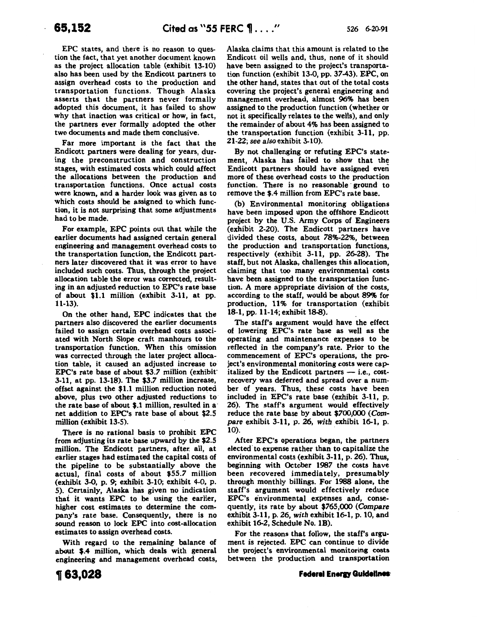EPC states, and there is no reason to question the fact, that yet another document known as the project allocation table (exhibit 13-10) also has been used by the Endicott partners to assign overhead costs to the production and transportation functions. Though Alaska asserts that the partners never formally adopted this document, it has failed to show why that inaction was critical or how, in fact, the partners ever formally adopted the other two documents and made them conclusive.

Far more important is the fact that the Endicott partners were dealing for years, during the preconstruction and construction stages, with estimated costs which could affect the allocations between the production and transportation functions. Once actual costs were known, and a harder look was given as to which costs should be assigned to which function, it is not surprising that some adjustments had to be made.

For example, EPC points out that while the earlier documents had assigned certain general engineering and management overhead costs to the transportation function, the Endicott partners later discovered that it was error to have included such costs. Thus, through the project allocation table the error was corrected, resulting in an adjusted reduction to EPC's rate base of about \$1.1 million (exhibit 3-11, at pp. 11-13).

On the other hand, EPC indicates that the partners also discovered the earlier documents failed to assign certain overhead costs associated with North Slope craft manhours to the transportation function. When this omission was corrected through the later project allocation table, it caused an adjusted increase to EPC's rate base of about \$3.7 million (exhibit· 3-11, at pp. 13-18). The *\$3.7* million increase, offset against the \$1.1 million reduction noted above, plus two other adjusted reductions to the rate base of about \$.1 million, resulted in a· net addition to EPC's rate base of about \$2.5 million (exhibit 13-5).

There is no rational basis to prohibit EPC from adjusting its rate base upward by the \$2.5 million. The Endicott partners, after all, at earlier stages had estimated the capital costs of the pipeline to be substantially above the actual, final costs of about *\$55.7* million (exhibit 3-0, p. 9; exhibit 3-10; exhibit 4-0, p. 5). Certainly, Alaska has given no indication that it wants EPC to be using the earlier, higher cost estimates to determine the company's rate base. Consequently, there is no sound reason to lock EPC into cost-allocation estimates to assign overhead costs.

With regard to the remaining balance of about \$.4 million, which deals with general engineering and management overhead costs,

Alaska claims that this amount is related to the Endicott oil wells and, thus, none of it should have been assigned to the project's transportation function (exhibit 13-0, pp. 37-43). EPC, on the other hand, states that out of the total costs covering the project's general engineering and management overhead, almost 96% has been assigned to the production function (whether or not it specifically relates to the wells), and only the remainder of about 4% has been assigned to the transportation function (exhibit 3-11, pp. 21-22; *see also* exhibit 3-10).

By not challenging or refuting EPC's statement, Alaska has failed to show that the Endicott partners should have assigned even more of these overhead costs to the production function. There is no reasonable ground to remove the \$.4 million from EPC's rate base.

(b) Environmental monitoring obligations have been imposed upon the offshore Endicott project by the U.S. Army Corps of Engineers (exhibit 2-20). The Endicott partners have divided these costs, about 78%-22%, between the production and transportation functions, respectively (exhibit 3-11, pp. 26-28). The staff, but not Alaska, challenges this allocation, claiming that too many environmental costs have been assigned to the transportation function. A more appropriate division of the costs, according to the staff, would be about 89% for production, 11% for transportation (exhibit 18-1, pp. 11-14; exhibit 18-8).

The staff's argument would have the effect of lowering EPC's rate base as well as the operating and maintenance expenses to be reflected in the company's rate. Prior to the commencement of EPC's operations, the project's environmental monitoring costs were capitalized by the Endicott partners  $-$  i.e., costrecovery was deferred and spread over a number of years. Thus, these costs have been included in EPC's rate base (exhibit 3-11, p. 26). The staff's argument would effectively reduce the rate base by about *\$700,000* (Com*pare* exhibit 3-11, p. 26, *with* exhibit 16-1, p. 10).

After EPC's operations began, the partners elected' to expense rather than to capitalize the environmental costs (exhibit 3-11, p. 26). Thus, beginning with October 1987 the costs have been recovered immediately, presumably through monthly billings. For 1988 alone, the staff's argument would effectively reduce EPC's environmental expenses and, consequently, its rate by about *\$765,000 (Compare*  exhibit 3-11, p. 26, *with* exhibit 16-1, p. 10, and exhibit 16-2, Schedule No. 1B).

For the reasons that follow, the staff's argument is rejected. EPC can continue to divide the project's environmental monitoring costs between the production and transportation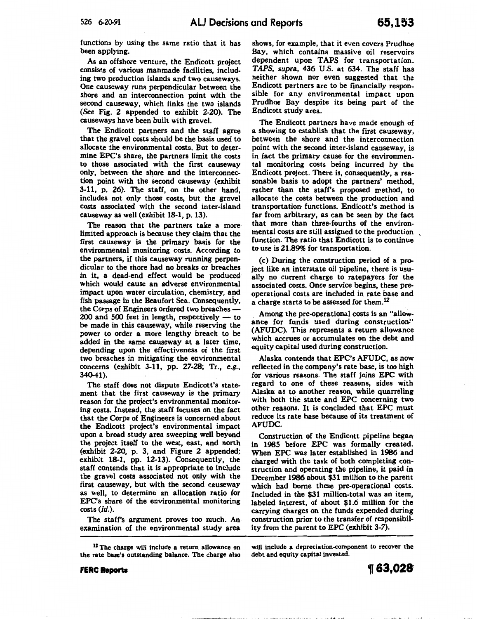functions by using the same ratio that it has been applying.

As an offshore venture, the Endicott project consists of various manmade facilities, including two production islands and two causeways. One causeway runs perpendicular between the shore and an interconnection point with the second causeway, which links the two islands (See Fig. 2 appended to exhibit 2-20). The causeways have been built with gravel.

The Endicott partners and the staff agree that the gravel costs should be the basis used to allocate the environmental costs. But to determine EPC's share, the partners limit the costs to those associated with the first causeway only, between· the shore and the interconnection point with the second causeway (exhibit 3-11, p. 26). The staff, on the other hand, includes not only those costs, but the gravel costs associated with the second inter-island causeway as well (exhibit 18-1, p. 13).

The reason that the partners take a more limited approach is because they claim that the first causeway is the primary basis for the environmental monitoring costs. According to the partners, if this causeway running perpendicular to the shore had no breaks or breaches in it, a dead-end effect would be produced which would cause an adverse environmental impact upon water circulation, chemistry, and fish passage in the Beaufort Sea. Consequentiy, the Corps of Engineers ordered two breaches- $200$  and  $500$  feet in length, respectively  $-$  to be made in this causeway, while reserving the power to order a more lengthy breach to be added in the same causeway at a later time, depending upon the effectiveness of the first two breaches in mitigating the environmental concerns (exhibit 3-11, pp. 27-28; Tr., e.g., 340-41)

The staff does not dispute Endicott's statement that the first causeway is the primary reason for the project's environmental monitoring costs. Instead, the staff focuses on the fact that the Corps of Engineers is concerned about the Endicott project's environmental impact upon a broad study area sweeping well beyond the project itself to the west, east, and north (exhibit 2-20, p. 3, and Figure 2 appended; exhibit 18-1, pp. 12-13). Consequently, the staff contends that it is appropriate to include the gravel costs associated not only with the first causeway, but with the second causeway as well, to determine an allocation ratio for EPC's share of the environmental monitoring  $costs$   $(id.)$ 

The staff's argument proves too much. An examination of the environmental study area

**FERC Reporta** 

shows, for example, that it even covers Prudhoe Bay, which contains massive oil reservoirs dependent upon TAPS for transportation. *TAPS, supra,* 436 U.S. at 634. The staff has neither shown nor even suggested that the Endicott partners are to be financially responsible for any environmental impact upon Prudhoe Bay despite its being part of the Endicott study area.

The Endicott partners have made enough of a showing to establish that the first causeway, between the shore and the interconnection point with the second inter-island causeway, is in fact the primary cause for the environmental monitoring costs being incurred by the Endicott project. There is, consequently, a reasonable basis to adopt the partners' method, rather than the staff's proposed method, to allocate the costs between the production and transportation functions. Endicott's method is far from arbitrary, as can be seen by the fact that more than three-fourths of the environmental costs are still assigned to the production , function. The ratio that Endicott is to continue to use is 21.89% for transportation.

(c) During the construction period of a project like an interstate oil pipeline, there is usually no current charge to ratepayers for the associated costs. Once service begins, these preoperational costs are included in rate base and a charge starts to be assessed for them.<sup>12</sup>

. Among the pre-operational costs is an "allowance for funds used during construction." (AFUDC). This represents a return allowance which accrues or accumulates on the debt and equity capital used during construction.

Alaska contends that EPC's AFUDC, as now reflected in the company's rate base, is too high for various reasons. The staff joins EPC with regard to one of these reasons, sides with Alaska as to another reason, while quarreling with both the state and EPC concerning two other reasons. It is concluded that EPC must reduce its rate base because of its treatment of AFUDC.

Construction of the Endicott pipeline began in 1985 before EPC was formally created. When EPC was later established in 1986 and charged with the task of both completing construction and operating the pipeline, it paid in December 1986 about \$31 million to the parent which had borne these pre-operational costs. Included in the \$31 million-total was an item, labeled interest, of about \$1.6 million for the carrying charges on the funds expended during construction prior to the transfer of responsibility from the parent to EPC (exhibit 3-7).

will include a depreciation-component to recover the debt and equity capital invested.

T 63.028

<sup>&</sup>lt;sup>12</sup> The charge will include a return allowance or the rate base's outstanding balance. The charge also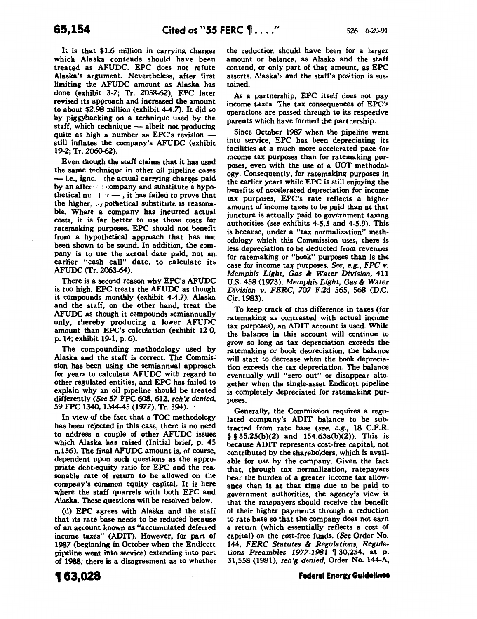It is that \$1.6 million in carrying charges which Alaska contends should have been treated as AFUDC. EPC does not refute Alaska's argument. Nevertheless, after first limiting the AFUDC amount as Alaska has done (exhibit 3-7; Tr. 2058-62), EPC later revised its approach and increased the amount to about \$2.98 million (exhibit 4-4.7). It did so by piggybacking on a technique used by the staff, which technique  $-$  albeit not producing quite as high a number as EPC's revision  $$ still inflates the company's AFUDC (exhibit 19-2; Tr. 2060-62).

Even though the staff claims that it has used the same technique in other oil pipeline cases  $-$  i.e., igno. the actual carrying charges paid by an affec<sup>+</sup> company and substitute a hypothetical nu  $\mathfrak{f}$   $\mathfrak{r}$  —, it has failed to prove that the higher,  $\alpha$  pothetical substitute is reasonable. Where a company has incurred actual costs, it is far better to use those costs for ratemaking purposes. EPC should not benefit from a hypothetical approach that has not been shown to be sound, In addition, the company is to use the actual date paid, not an. earlier "cash call" date, to calculate its AFUDC (Tr. 2063-64 ).

There is a second reason why EPC's AFUDC is too high. EPC treats the AFUDC as though it compounds monthly (exhibit 4-4.7). Alaska and the staff, on the other hand, treat the AFUDC as though it compounds semiannually only, thereby producing a lower AFUDC amount than EPC's calculation (exhibit 12-0, p. 14; exhibit 19-1, p. 6).

The compounding methodology used by Alaska and the staff is correct. The Commission has been using the semiannual approach for years to calculate AFUDC with regard to other regulated entities, and EPC has failed to explain why an oil pipeline should be treated differently (See *57* FPC~. 612, *reh'g denied,*  59 FPC 1340, 1344-45 (1977); Tr. 594).

In view of the fact that a TOC methodology has been rejected in this case, there is no need to address a couple of other AFUDC issues which Alaska has raised (Initial brief, p. 45 n.156). The final AFUDC amount is, of course, dependent upon. such questions as the appropriate debt-equity ratio for EPC and the reasonable rate of return to be allowed on the company's common equity capital. It is here where the staff quarrels with both EPC and Alaska. These questions will be resolved below.

(d) EPC agrees with Alaska and the staff that its rate base needs to be reduced because of an account known as "accumulated deferred income taxes" (ADIT). However, for part of 1987 (beginning in October when the Endicott pipeline went into service) extending into part of 1988; there is a disagreement as to whether

the reduction should have been for a larger amount or balance, as Alaska and the staff contend, or only part of that amount, as EPC asserts. Alaska's and the staff's position is sustained.

As a partnership, EPC itself does not pay income taxes. The tax consequences of EPC's operations are passed through to its respective parents which have formed the partnership.

Since October 1987 when the pipeline went into service, EPC has been depreciating its facilities at a much more accelerated pace for income tax purposes than for ratemaking purposes, even with the use of a UOT methodology. Consequently, for ratemaking purposes in the earlier years while EPC is still enjoying the benefits of accelerated depreciation for income tax purposes, EPC's rate reflects a higher amount of income taxes to be paid than at that juncture is actually paid to government taxing authorities (see exhibits 4-5.5 and 4-5.9). This is because, under a "tax normalization" methodology which this Commission uses, there is less depreciation to be deducted from revenues for ratemaking or "book" purposes than is the case for income tax purposes. *See, e.g., FPC v. Memphis Light, Gas* & *Water Division,* 411 U.S. 458 (1973); *Memphis Light, Gas* & *Water Division v. FERC, 707* F.2d 565, 568 (D.C. C\_ir. 1983).

To keep track of this difference in taxes (for ratemaking as contrasted with actual income tax purposes), an ADIT account is used. While the balance in this account will continue to grow so long as tax depreciation exceeds the ratemaking or book depreciation, the balance will start to decrease when the book depreciation exceeds the tax depreciation. The balance eventually will "zero out" or disappear altogether when the single-asset Endicott pipeline is completely depreciated for ratemaking purposes.

Generally, the Commission requires a regulated company's ADIT balance to be subtracted from rate base *(see, e.g.,* 18 C.F.R. § § 35.25(b)(2) and 154.63a(b)(2)). This is because ADIT represents cost-free capital, not contributed by the shareholders, which is available for use by the company. Given the fact that, through tax normalization, ratepayers bear the burden of a greater income tax allowance than is at that time due to be paid to government authorities, the agency's view is that the ratepayers should receive the benefit of their higher payments through a reduction to rate base so that the company does not earn a return (which essentially reflects a cost of capital) on the cost-free funds. (See Order No. 144, *FERC Statutes* & *Regulations, Regulations Preambles 1977-1981* | 30,254, at p. 31,558 (1981), *reh'g denied,* Order No. 144-A,

#### **Federal Energy Guidelines**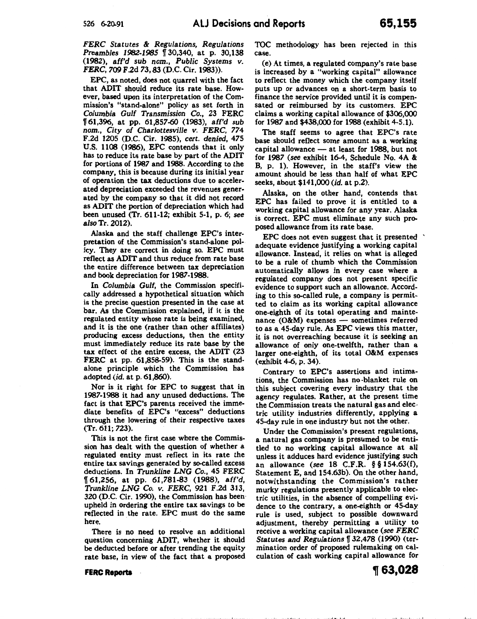*FERC Statutes* & *Regulations, Regulations Preambles 1982-1985* [130,340, at p. 30,138 (1982), *aff'd sub nom., Public Systems v. FERC, 709* F.2d *73,* 83 (D.C. Cir. 1983)).

EPC, as noted, does not quarrel with the fact that ADIT should reduce its rate base. However, based upon its interpretation of the Commission's "stand-alone" policy as set forth in *Columbia Gulf Transmission* Co., 23 FERC 1f 61,396, at pp. 61,857-60 (1983), *aff'd sub nom., City of Charlottesville v. FERC,* 774 F.2d 1205 (D.C. Cir. 1985), *cert. denied,* 475 U.S. 1108 (1986), EPC contends that it only has to reduce its rate base by part of the ADIT for portions of 1987 and 1988. According to the company. this is because during its initial year of operation the tax deductions due to accelerated depreciation exceeded the revenues generated by the company so that it did not record as ADIT the portion of depreciation which had been unused (Tr. 611-12; exhibit 5-1, p. 6; see *also* Tr. 2012).

Alaska and the staff challenge EPC's interpretation of the Commission's stand-alone policy. They are correct in doing so. EPC must reflect as ADIT and thus reduce from rate base the entire difference between tax depreciation and book depreciation for 1987-1988.

In *Columbia Gulf,* the Commission specifically addressed a hypothetical situation which is the precise question presented in the case at bar. As the Commission explained, if it is the regulated entity whose rate is being examined, and it is the one (rather than other affiliates) producing excess deductions, then the entity must immediately reduce its rate base by the tax effect of the entire excess, the ADIT (23 FERC at pp. 61,858-59). This is the standalone principle which the Commission has adopted *(id.* at p. 61,860).

Nor is it right for EPC to suggest that in 1987-1988 it had any unused deductions. The fact is that EPC's parents received the immediate benefits of EPC's "excess" deductions through the lowering of their respective taxes (Tr. 611; 723).

This is not the first case where the Commission has dealt with the question of whether a regulated entity must reflect in its rate the entire tax savings generated by so-called excess deductions. In *Trunkline LNG* Co., 45 FERC n 61,256, at pp. 61,781-83 (1988), *aff'd, Trunkline LNG* Co. *v. FERC,* 921 F.2d 313, 320 (D.C. Cir. 1990), the Commission has beenupheld in ordering the entire tax savings to be reflected in the rate. EPC must do the same here.

There is no need to resolve an additional question concerning ADIT, whether it should be deducted before or after trending the equity rate base, in view of the fact that a proposed TOC methodology has been rejected in this case.

(e) At times, a regulated company's rate base is increased by a "working capital" allowance to reflect the money which the company itself puts up or advances on a short-term basis to finance the service provided until it is compensated or reimbursed by its customers. EPC claims a working capital allowance of \$306,000 for 1987 and \$438,000 for 1988 (exhibit 4-5.1).

The staff seems to agree that EPC's rate base should reflect some amount as a working capital allowance- at least for 1988, but not for 1987 (see exhibit 16-4, Schedule No. 4A & B, p. 1). However, in the staff's view the amount should be less than half of what EPC seeks, about \$141,000 *(id.* at p.2).

Alaska, on the other hand, contends that EPC has failed to prove it is entitled to a working capital allowance for any year. Alaska is correct. EPC must eliminate any such proposed allowance from its rate base.

EPC does not even suggest that it presented ' adequate evidence justifying a working capital allowance. Instead, it relies on what is alleged to be a rule of thumb which the Commission automatically allows in every case where a regulated company does not present specific evidence to support such an allowance. According to this so-called rule, a company is permitted to claim as its working capital allowance one-eighth of its total operating and maintenance  $(O\&M)$  expenses — sometimes referred to as a 45-day rule. As EPC views this matter, it is not overreaching because it is seeking an allowance of only one-twelfth, rather than a larger one-eighth, of its total O&M expenses (exhibit 4-6, p. 34).

Contrary to EPC's assertions and intimations, the Commission has no ·blanket rule on this subject covering every industry that the agency regulates. Rather, at the present time the Commission treats the natural gas and elec · tric utility industries differently, applying a 45-day rule in one industry but not the other.

Under the Commission's present regulations, a natural gas company is presumed to be entitled to no working capital allowance at all unless it adduces hard evidence justifying such an allowance (see 18 C.F.R. § § 154.63(£), Statement E, and 154.63b). On the other hand, notwithstanding the Commission's rather murky regulations presently applicable to electric utilities, in the absence of compelling evidence to the contrary, a one-eighth or 45-day rule is used, subject to possible downward adjustment, thereby permitting a utility to receive a working capital allowance (see *FERC*  Statutes and Regulations | 32,478 (1990) (termination order of proposed rulemaking on calculation of cash working capital allowance for

FERC Reports

~63,028

"~ II· I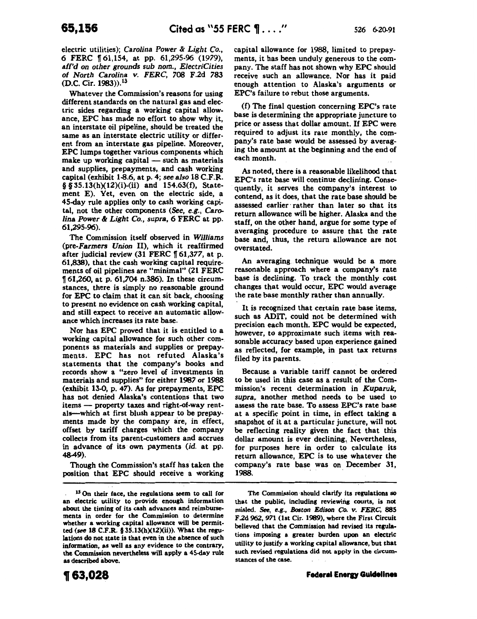electric utilities); *Carolina Power* & *Light* Co., 6 FERC f 61,154, at pp. 61,295-96 (1979), *afrd on other grounds sub nom., ElectriCities of North Carolina v. FERC, 708* F.2d *783*  (D.C. Cir. 1983)),1<sup>3</sup>

Whatever the Commission's reasons for using different standards on the natural gas and electric sides regarding a working capital allowance, EPC has made no effort to show why it, an interstate oil pipeline, should be treated the same as an interstate electric utility or different from an interstate gas pipeline. Moreover, EPC lumps together various components which  $make up working capital — such as materials$ and supplies, prepayments, and cash working capital (exhibit 1-8.6, at p. 4; *see also* 18 C.F.R.  $§$ § 35.13(h)(12)(i)-(ii) and 154.63(f), Statement E). Yet, even on the electric side, a 45-day rule applies only to cash working capital, not the other components (See, e.g., Caro*lina Power* & *Light* Co., *supra,* 6 FERC at pp. 61,295-96).

The Commission itself observed in *Williams*  (pre-Farmers *Union* II), which it reaffirmed after judicial review (31 FERC f *61,377,* at p. 61,838), that the cash working capital requirements of oil pipelines are "minimal" (21 FERC 161,260, at p. 61,704 n.386). In these circumstances, there is simply no reasonable ground for EPC to claim that it can sit back, choosing to present no evidence on cash working capital, and still expect to receive an automatic allowance which increases its rate base.

Nor has EPC proved that it is entitled to a working capital allowance for such other components as materials and supplies or prepayments. EPC has not refuted Alaska's statements that the company's books and records show a "zero level of investments in materials and supplies" for either 1987 or 1988 (exhibit 13-0, p. 47). As for prepayments, EPC has not denied Alaska's contentions that two items - property taxes and right-of-way rentals--which at first blush appear to be prepayments made by the company are, in effect, offset by tariff charges which the company collects from its parent-customers and accrues in advance of its· own payments *(id.* at pp. 48-49).

Though the Commission's staff has taken the position that EPC should receive a working capital allowance for 1988, limited to prepayments, it has been unduly generous to the company. The staff has not shown why EPC should receive such an allowance. Nor has it paid enough attention to Alaska's arguments or EPC's failure to rebut those arguments.

(f) The final question concerning EPC's rate base is determining the appropriate juncture to price or assess that dollar amount. If EPC were required to adjust its rate monthly, the company's rate base would be assessed by averaging the amount at the beginning and the end of each month.

As noted, there is a reasonable likelihood that EPC's rate base will continue declining. Consequently; it serves the company's interest to contend, as it does, that the rate base should be assessed earlier rather than later so that its return allowance will be higher. Alaska and the staff, on the other hand, argue for some type of averaging procedure to assure that the rate base and, thus, the return allowance are not overstated.

An averaging. technique would be a more reasonable approach where a company's rate base is declining. To track the monthly cost changes that would occur, EPC would average the rate base monthly rather than annually.

It is recognized that certain rate base items, such as ADIT, could not be determined with precision each month. EPC would be expected, however, to approximate such items with reasonable accuracy based upon experience gained as reflected, for example, in past tax returns filed by its parents.

Because a variable tariff cannot be ordered to be used in this case as a result of the Commission's recent determination in *Kuparuk, supra.* another method needs to be used to assess the rate base. To assess EPC's rate base at a specific point in time, in effect taking a snapshot of it at a particular juncture, will not be reflecting reality given the fact that this dollar amount is ever declining, Nevertheless, for purposes here in order to calculate its return allowance, EPC is to use whatever the company's rate base was on December 31, 1988.

The Commission-should clarify its regulations so that the public, including reviewing courts, is not misled. See, e.g., *Boston Edison Co. v. FERC,* 885 F.2d 962, 971 (1st Cir. 1989), where the First Circuit believed that the Commission had revised its regula· tions imposing a greater burden upon an electric utility to justify a working capital allowance, but that such revised regulations did not apply in the circumstances of the case.

<sup>&</sup>lt;sup>13</sup> On their face, the regulations seem to call for an electric utility to provide enough information about the timing of its cash advances and reimbursements in order for the Commission to determine whether a working capital allowance will be permitted (see 18 C.F.R. § 35.13(h) $(12)(ii)$ ). What the regulations do not state is that even in the absence of such information, as well as any evidence to the contrary, the Commission nevertheless will apply a 45-day rule as described above.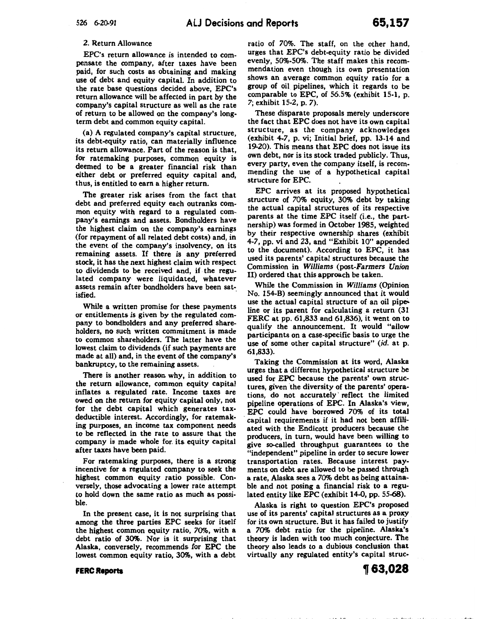### 2. Return Allowance

EPC's return allowance is intended to compensate the company, after taxes have been paid, for such costs as obtaining and making use of debt and equity capital. In addition to the rate base questions decided above, EPC's return allowance will be affected in part by the company's capital structure as well as the rate of return to be allowed on the company's longterm debt and common equity capital.

(a) A regulated company's capital structure, its debt-equity ratio, can materially influence its return allowance. Part of the reason is that, for ratemaking purposes, common equity is deemed to be a greater financial risk than either debt or preferred equity capital and, thus, is entitled to earn a higher return.

The greater risk arises from the fact that debt and preferred equity each outranks common equity with regard to a regulated company's earnings and assets. Bondholders have the highest claim on the company's earnings (for repayment of all related debt costs) and, in the event of the company's insolvency, on its remaining assets. If there is any preferred stock, it has the next highest claim with respect to dividends to be received and, if the regulated company were liquidated, whatever assets remain after bondholders have been sat- $\blacksquare$  isfied.

While a written promise for these payments or entitlements is given by the regulated company to bondholders and any preferred shareholders, no such written commitment is made to common shareholders. The latter have the lowest claim to dividends (if such payments are made at all) and, in the event of the company's bankruptcy, to the remaining assets.

There is another reason why, in addition to the return allowance, common equity capital inflates a regulated rate. Income taxes are owed on the return for equity capital only, not for the debt capital which generates taxdeductible interest. Accordingly, for ratemaking purposes, an income tax component needs to be reflected in the rate to assure that the company is made whole for. its. equity capital after taxes have been paid.

For ratemaking purposes, there is a strong incentive for a regulated company to seek the highest common equity ratio possible. Conversely, those advocating a lower rate attempt to hold down the same ratio as much as possible.

In the present case, it is not surprising that among the three parties EPC seeks for itself the highest common equity ratio, 70%, with a debt ratio of 30%. Nor is it surprising that Alaska, conversely, recommends. for EPC the lowest common equity ratio, 30%, with a debt

ratio of 70%. The staff, on the other hand, urges that EPC's debt-equity ratio be divided evenly, 50%-50%. The staff makes this recommendation even though its own presentation shows an average common equity ratio for a group of oil pipelines, which it regards to be comparable to EPC, of 56.5% (exhibit 15-1, p. *7;* exhibit 15-2, p. 7).

These disparate proposals merely underscore the fact that EPC does not have its own capital structure, as the company acknowledges (exhibit 4-7, p. vi; Initial brief, pp. 13-14 and 19-20). This means that EPC does not issue its own debt, nor is its stock traded publicly. Thus, every party, even the company itself, is recommending the use of a hypothetical capital structure for EPC.

EPC arrives at its proposed hypothetical structure of 70% equity, 30% debt by taking the actual capital structures of its respective parents at the time EPC itself (i.e., the partnership) was formed in October 1985, weighted by their respective ownership shares (exhibit 4-7, pp. vi and 23, and "Exhibit 10" appended to the document). According to EPC, it has used its parents' capital structures because the Commission in *Williams* (post-Farmers *Union*  II) ordered that this approach be taken.

While the Commission in *Williams* (Opinion No. 154-B) seemingly announced that it would use the actual capital structure of an oil pipeline or its parent for calculating a return (31 FERC at pp. 61,833 and 61,836), it went on to qualify the announcement. It would "allow participants on a case-specific basis to urge the use of some other capital structure" (id. at p. 61,833).

Taking the Commission at its word, Alaska urges that a different hypothetical structure be used for EPC because the parents' own structures, given the diversity of the parents' operations, do not accurately· reflect the limited pipeline operations of EPC. In Alaska's view, EPC could have borrowed 70% of its total capital requirements if it had not been affiliated with the Endicott producers because the producers, in turn, would have been willing to give so-called throughput guarantees to the "independent" pipeline in order to secure lower transportation rates. Because interest payments on debt are allowed to be passed through a rate, Alaska sees a 70% debt as being attainable and not posing a financial risk to a regulated entity like EPC (exhibit 14-0, pp. 55-68).

Alaska is right to question EPC's proposed use of its parents' capital structures as a proxy for its own structure. But it has failed to justify a 70% debt ratio for the pipeline. Alaska's theory is laden with too much conjecture. The theory also leads to a dubious conclusion that virtually any regulated entity's capital struc-

**FERC Reports** 

**,63,028**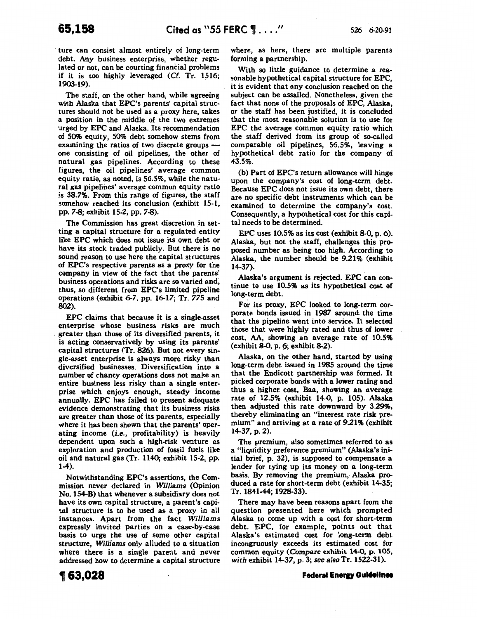ture can consist almost entirely of long-term debt. Any business enterprise, whether regulated or not, can be courting financial problems if it is too highly leveraged (Cf. Tr. 1516; 1903-19).

The staff, on the other hand, while agreeing with Alaska that EPC's parents' capital structures should not be used as a proxy here, takes a position in the middle of the two extremes urged by EPC and Alaska. Its recommendation of 50% equity, 50% debt somehow stems from examining the ratios of two discrete groups one consisting of oil pipelines, the other of natural gas pipelines. According to these figures, the oil pipelines' average common equity ratio, as noted, is 56.5%, while the natural gas pipelines' average common equity ratio is 38.7%. From this range of figures, the staff somehow reached its conclusion (exhibit 15-1, pp. 7-8; exhibit 15-2, pp. 7-8).

The Commission has great discretion in setting a capital structure for a regulated entity like EPC which does not issue its own debt or have its stock traded publicly. But there is no sound reason to use here the capital structures of EPC's respective parents as a proxy for the company in view of the fact that the parents! business operations and risks are so varied and; thus, so different from EPC's limited pipeline operations (exhibit 6-7, pp. 16-17; Tr. *775* and 802).

EPC claims that because it is a single-asset enterprise whose business risks are much . greater than those of its diversified parents, it is acting conservatively by using its parents' capital structures (Tr. 826). But not every single-asset enterprise is always more risky than diversified businesses. Diversification into a number of chancy operations does not make an entire business less risky than a single enterprise which enjoys enough, steady income annually. EPC has failed to present adequate evidence demonstrating that its business risks are greater than those of its parents, especially where it has been shown that the parents' operating income (i.e., profitability) is heavily dependent upon such a high-risk venture as exploration and production of fossil fuels like oil and natural gas (Tr. 1140; exhibit 15-2, pp, 1-4).

Notwithstanding EPC's assertions, the Commission never declared in *Williams* (Opinion No. 154-B) that whenever a subsidiary does not have its own capital structure, a parent's capital structure is to be used as a proxy in all instances. Apart from the fact *Williams*  expressly invited parties on a case-by-case basis to urge the use of some other capital structure, *Williams* only alluded to a situation where there is a single parent and never addressed how to determine a capital structure where, as here, there are multiple parents forming a partnership.

With so little guidance to determine a reasonable hypothetical capital structure for EPC, it is evident that any conclusion reached on the subject can be assailed. Nonetheless, given the fact that none of the proposals of EPC, Alaska, or the staff has been justified, it is concluded that the most reasonable solution is to use for EPC the average common equity ratio which the staff derived from its group of so-called comparable oil pipelines, 56.5%, leaving a hypothetical debt ratio for the company of 43.5%.

(b) Part of EPC's return allowance will hinge upon the company's cost of long-term debt. Because EPC does not issue its own debt, there are no specific debt instruments which can be examined to determine the company's cost. Consequently, a hypothetical cost for this capital needs to be determined.

EPC uses 10.5% as its cost (exhibit 8-0, p. 6). Alaska, but not the staff, challenges this proposed number as being too high. According to Alaska, the number should be 9.21% (exhibit 14-37).

Alaska's argument is rejected. EPC can continue to use 10.5% as its hypothetical cost of long-term debt.

For its proxy, EPC looked to long-term corporate bonds issued in 1987 around- the time that the pipeline went into service. It selected those that were highly rated and thus of lower cost, AA, showing an average rate of 10.5% (exhibit 8-0, p. 6; exhibit 8-2).

Alaska, on the other hand, started by using long-term debt issued in 1985 around the time that the Endicott partnership was formed. It picked corporate bonds with a lower rating and thus a higher cost, Baa, showing an average rate of 12.5% (exhibit 14-0, p. 105). Alaska then adjusted this rate downward by 3.29%, thereby eliminating an "interest rate risk premium" and arriving at a rate of 9.21% (exhibit 14-37, p. 2).

The premium, also sometimes referred to as a "liquidity preference premium" (Alaska's initial brief, p. 32), is supposed to compensate a lender for tying up its money on a long-term basis. By removing the premium, Alaska produced a rate for short-term debt (exhibit 14-35; Tr. 1841-44; 1928-33).

There may have been reasons apart from the question presented here which prompted Alaska to come up with a cost for short-term debt. EPC, for example, points out that Alaska's estimated cost for long-term debt incongruously exceeds its estimated cost for common equity (Compare exhibit 14-0, p. 105, *with* exhibit 14-37, p. 3; *see alsoTr.* 1522-31).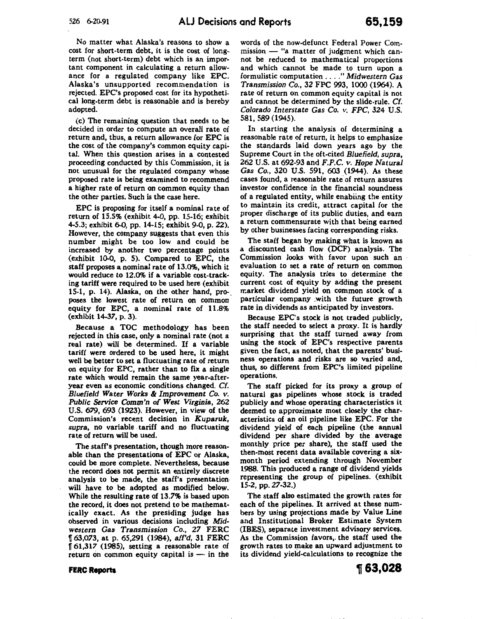No matter what Alaska's reasons to show a cost for short-term debt, it is the cost of longterm (not short-term) debt which is an important component in calculating a return allowance for a regulated company like EPC. Alaska's unsupported recommendation is rejected. EPC's proposed cost for its hypothetical long-term debt is reasonable and is hereby adopted.

(c) The remaining question that needs to be decided in ordar to compute an overall rate of return and, thus, a return allowance for EPC is the cost of the company's common equity capital. When this question arises in a contested proceeding conducted by this Commission, it is not unusual for the regulated company whose proposed rate is being examined to recommend a higher rate of return on common equity than the other parties. Such is the case here.

EPC is proposing for itself a nominal rate of return of 15.5% (exhibit 4-0, pp. 15-16; exhibit 4-5.3; exhibit 6-0, pp. 14-15; exhibit 9-0, p. 22). However, the company suggests that even this number might be too low and could be increased by another two percentage points (exhibit 10-0, p. 5). Compared to EPC, the staff proposes a nominal rate of 13.0%, which it would reduce to 12.0% if a variable cost-tracking tariff were required to be used here (exhibit 15-1, p. 14). Alaska, on the other hand, proposes the lowest rate of return on common equity for EPC, a nominal rate of 11.8% (exhibit 14-37, p. 3).

Because a TOC methodology has been rejected in this case, only a nominal rate (not a real rate) will be determined. If a variable tariff were ordered to be used here, it might well be better to set a fluctuating rate of return on equity for EPC, rather than to fix a single rate which would remain the same year-afteryear even as economic conditions changed. *Cf. Bluefield Water Works* & *Improvement* Co. *v. Public Service Comm'n of West Virginia,* 262 U.S. *679,* 693 (1923). However, in view of the Commission's recent decision in *Kuparuk, supra,* no variable tariff and no fluctuating rate of return will be used.

The staff's presentation, though more reasonable than the presentations of EPC or Alaska, could be more complete. Nevertheless, because the record does not permit an entirely discrete analysis to be made, the staff's presentationwill have to be adopted as modified below. While the resulting rate of 13.7% is based upon the record, it does not pretend to be mathematically exact. As the presiding judge has observed in various decisions including *Midwestern* Gas *Transmission Co., 27* FERC 1r *63,073,* at p. 65,291 (1984), *aff'd,* 31 FERC 1r 61,317 (1985), setting a reasonable rate of return on common equity capital is  $-$  in the words of the now-defunct Federal Power Com $mission$  - "a matter of judgment which cannot be reduced to mathematical proportions and which cannot be made to turn upon a formulistic computation .... " *Midwestern* Gas *Transmission Co.,* 32 FPC 993, 1000 (1964). A rate of return on common equity capital is not and cannot be determined by the slide-rule. *Cf. Colorado Interstate* Gas *Co. v. FPC,* 324 U.S. 581, 589 (1945).

In starting the analysis of determining a reasonable rate of return, it helps to emphasize the standards laid down years ago by the Supreme Court in the oft-cited *Bluefield, supra,*  262 U.S. at 692-93 and *F.P.C. v. Hope Natural*  Gas *Co.,* 320 U.S. 591, 603 (1944). As these cases found, a reasonable rate of return assures investor confidence in the financial soundness of a regulated entity, while enabiing the entity to maintain its credit, attract capital for the proper discharge of its public duties, and earn a return commensurate with that being earned by other businesses facing corresponding risks.

The staff began by making what is known as a discounted cash flow (DCF) analysis. The Commission looks with favor upon such an evaluation to set a rate of return on common equity. The analysis tries to determine the current cost of equity by adding the present market dividend yield on common stock of a particular company .with the future growth rate in dividends as anticipated by investors.

Because EPC's stock is not traded publicly, the staff needed to select a proxy. It is hardly surprising that the staff turned away from using the stock of EPC's respective parents given the fact, as noted, that the parents' business operations and risks are so varied and, thus, so different from EPC's limited pipeline operations.

The staff. picked for its proxy a group of natural gas pipelines whose stock is traded publicly and whose operating characteristics it deemed to approximate most closely the characteristics of an oil pipeline like EPC. For the dividend yield of each pipeline (the annual dividend per share divided by the average monthly price per share), the staff used the then-most recent data available covering a sixmonth period extending through November 1988. This produced a range of dividend yields representing the group of pipelines. (exhibit 15-2, pp. 27-32.)

The staff also estimated the growth rates for each of the pipelines. It arrived at these numbers by using projections made by Value Line and Institutional Broker Estimate System (IBES), separate investment advisory services. As the Commission favors,. the staff used the growth rates to make an upward adjustment to its dividend yield-calculations to recognize the

#### **FERC Reports**

~63,028

'+ .. l•f ~I,.. I I I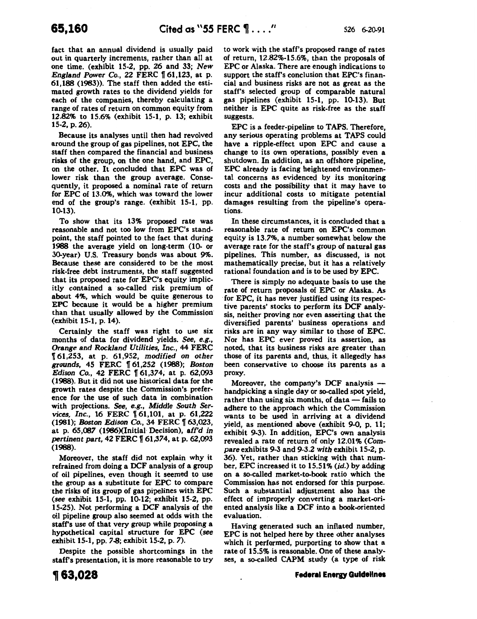fact that an annual dividend is usually paid out in quarterly increments, rather than all at one time. (exhibit 15-2, pp. 26 and 33; *New England Power Co., 22 FERC* 161,123, at p. 61,188 (1983)). The staff then added the estimated growth rates to the dividend yields for each of the companies, thereby calculating a range of rates of return on common equity from 12.82% to 15.6% (exhibit 15-1, p. 13; exhibit 15-2, p. 26).

Because its analyses until then had revolved around the group of gas pipelines, not EPC, the staff then compared the financial and business risks of the group, on the one hand, and EPC, on the other. It concluded that EPC was of lower risk than the group average. Consequently, it proposed a nominal rate of return for EPC of 13.0%, which was toward the lower end of the group's range. (exhibit 15-1, pp. 10-13).

To show that its 13% proposed rate was reasonable and not too low from EPC's standpoint, the staff pointed to the fact that during 1988 the average yield on long-term (10- or 30-year) U.S. Treasury bonds was about 9%. Because these are considered to be the most risk-free debt instruments, the staff suggested that its proposed rate for EPC's equity implicitly contained a so-called risk premium of about 4%, which would be quite generous to EPC because it would be a higher premium than that usually allowed by the Commission (exhibit 15-1, p. 14).

Certainly the staff was right to use six months of data for dividend yields. *See,* e.g., **Orange and Rockland Utilities, Inc., 44 FERC** 1f 61,253, at p. 61,952, *modified on other grounds,* 45 FERC 1f 61,252 (1988); *Boston Edison Co., 42 FERC* 161,374, at p. 62,093 (1988). But it did not use historical data for the growth rates despite the Commission's preference for the use of such data in combination with projections. *See,* e.g., *Middle South Services, Inc., 16 FERC* 161,101, at p. 61,222 (1981); *Boston Edison Co.*, 34 FERC 163,023, at p. 65,087 (1986)(Initial Decision), aff'd in *pertinent part, 42 FERC* 161,374, at p. 62,093 (1988).

Moreover, the staff did not explain why it refrained from doing a DCF analysis of a group of oil pipelines, even though it seemed to use the group as a substitute for EPC to compare the risks of its group of gas pipelines with EPC (see exhibit 15-1, pp. 10-12; exhibit 15-2, pp. 15-25). Not performing a DCF analysis of the oil pipeline group also seemed at odds with the staff's use of that very group while proposing a hypothetical capital structure for EPC *(see*  exhibit 15-1, pp. 7-8; exhibit 15-2, p. 7).

Despite the possible shortcomings in the staff's presentation, it is more reasonable to try to work with the staff's proposed range of rates of return, 12.82%-15.6%, than the proposals of EPC or Alaska. There are enough indications to support the staff's conclusion that EPC's financial and business risks are not as great as the staff's selected group of comparable natural gas pipelines (exhibit 15-1, pp. 10-13). But neither is EPC quite as risk-free as the staff suggests.

EPC is a feeder-pipeline to TAPS. Therefore, any serious operating problems at TAPS could have a ripple-effect upon EPC and cause a change to its own operations, possibly even a shutdown. In addition, as an offshore pipeline, EPC already is facing heightened environmental concerns as evidenced by its monitoring costs and the possibility that it may have to incur additional costs to mitigate potential damages resulting from the pipeline's operations.

In these circumstances, it is concluded that a reasonable rate of return on EPC's common equity is 13.7%, a number somewhat below the average rate for the staff's group of natural gas pipelines. This number, as discussed, is not mathematically precise, but it has a relatively rational foundation and is to be used by EPC.

There is simply no adequate basis to use the rate of return proposals of EPC or Alaska. As ·for EPC, it has never justified using its respective parents' stocks to perform its DCF analysis, neither proving nor even asserting that the diversified parents' business operations and risks are in any way similar to those of EPC. Nor has EPC ever proved its assertion, as noted, that its business risks are greater than those of its parents and, thus, it allegedly has been conservative to choose its parents as a proxy.

Moreover, the company's DCF analysis handpicking a single day or so-called spot yield, rather than using six months, of data  $-$  fails to adhere to the approach which the Commission wants to be used in arriving at a dividend yield, as mentioned above (exhibit 9-0, p. 11; exhibit 9-3). In addition, EPC's own analysis revealed a rate of return of only 12.01% (Com*pare* exhibits 9-3 and 9-3.2 *with* exhibit 15-2; p. 36). Yet, rather than sticking with that number, EPC increased it to 15.51% (id.) by adding on a so-called market-to-book ratio which the Commission has not endorsed for this purpose. Such a substantial adjustment also has the effect of improperly converting a market-oriented analysis like a DCF into a book-oriented evaluation.

Having generated such an inflated number, EPC is not helped here by three other analyses which it performed, purporting to show that a rate of 15.5% is reasonable. One of these analyses, a so-called CAPM study (a type of risk

# **Federal Energy Guidelines**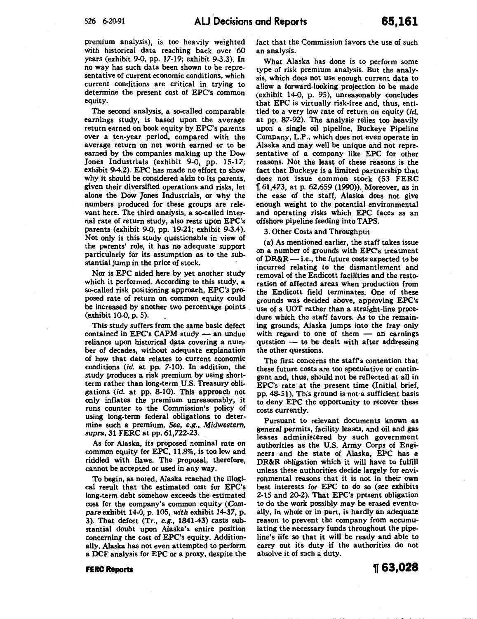premium analysis), is too heavily weighted with historical data reaching back over 60 years (exhibit 9-0, pp. 17-19; exhibit 9-3.3). In no way has such data been shown to be representative of current economic conditions, which current conditions are critical in trying to determine the present cost of EPC's common equity.

The second analysis, a so-called comparable earnings study, is based upon the average return earned on book equity by EPC's parents over a ten-year period, compared with the average return on net worth earned or to be earned by the companies making up the Dow Jones Industrials (exhibit 9-0, pp. 15-17; exhibit 9-4.2). EPC has made no effort to show why it should be considered akin to its parents, given their diversified operations and risks, let alone the Dow Jones Industrials, or why the numbers produced for these groups are relevant here. The third analysis, a so-called internal rate of return study, also rests upon EPC's parents (exhibit 9-0, pp. 19-21; exhibit 9-3.4). Not only is this study questionable in view of the parents' role, it has no adequate support particularly for its assumption as to the substantial jump in the price of stock.

Nor is EPC aided here by yet another study which it performed. According to this study, a so-called risk positioning approach, EPC's proposed rate of return on common equity could be increased by another two percentage points. (exhibit 10-0, p. 5).

This study suffers from the same basic defect contained in EPC's CAPM study  $-$  an undue reliance upon historical data covering a number of decades, without adequate explanation of how that data relates to current economic conditions *(id.* at pp. 7-10). In addition, the study produces a risk premium by using shortterm rather than long-term U.S. Treasury obligations *(id.* at pp. 8-10). This- approach not only inflates the premium unreasonably, it runs counter to the Commission's policy of using long-term federal obligations to determine such a premium. See, e.g.,. *Midwestern, supra,* 31 FERC at pp. 61,722-23.

As for Alaska, its proposed nominal rate on common equity for EPC, 11.8%, is too low and riddled with flaws. The proposal, therefore, cannot be accepted or used in any way.

To begin, as noted, Alaska reached the illogical result that the estimated cost for EPC's long-term debt somehow exceeds the estimated cost for the company's common equity (Com*pare* exhibit 14-0; p. 105, *with* exhibit 14-37, p. 3). That defect (Tr., *e.g.,* 1841-43) casts substantial doubt upon Alaska's entire position concerning the cost of EPC's equity. Additionally, Alaska has not even attempted to perform a DCF analysis for EPC or a proxy, despite the fact that the Commission favors the use of such an analysis.

What Alaska has done is to perform some type of risk premium analysis. But the analysis, which does not use enough current data to allow a forward-looking projection to be made (exhibit 14-0, p. 95), unreasonably concludes that EPC is virtually risk-free and, thus, entitled to a very low rate of return on equity *(id.*  at pp. 87-92). The analysis relies too heavily upon a single oil pipeline, Buckeye Pipeline Company, L.P., which does not even operate in Alaska and may well be unique and not representative of a company like EPC for other reasons. Not the least of these reasons is the fact that Buckeye is a limited partnership that does not issue common stock (53 FERC n 61,473, at p. 62,659 (1990)). Moreover, as in the case of the staff, Alaska does not give enough weight to the potential environmental and operating risks which EPC faces as an offshore pipeline feeding into TAPS.

3. Other Costs and Throughput

(a) As mentioned earlier, the staff takes issue on a number of grounds with EPC's treatment of  $DR&R$  — i.e., the future costs expected to be incurred relating to the dismantlement and removal of the Endicott facilities and the restoration of affected areas when production from the Endicott field terminates. One of these grounds was decided above, approving EPC's use of a UOT rather than a straight-line procedure which the staff favors. As to the remaining grounds, Alaska jumps into the fray only with regard to one of them  $-$  an earnings question  $-$  to be dealt with after addressing the other questions.

The first concerns the staff's contention that these future costs are too speculative or contingent and, thus, should not be reflected at all in EPC's rate at the present time (Initial brief, pp. 48-51). This ground is not· a sufficient basis to deny EPC the opportunity to recover these costs currently.

Pursuant to relevant documents known as general permits, facility leases, and oil and gas leases administered by such government authorities as the U.S. Army Corps of Engineers and the state of Alaska, EPC has a DR&R obligation which it will have to fulfill unless these authorities decide largely for environmental reasons that it is not in their own best interests for EPC to do so (see exhibits 2-15 and 20-2). That EPC's present obligation to do the work possibly may be erased eventually, in whole or in part, is hardly an adequate reason to prevent the company from accumulating the necessary funds throughout the pipeline's life so that it will be ready and able to carry out its duty if the authorities do not absolve it of such a duty.

**FERC Reports**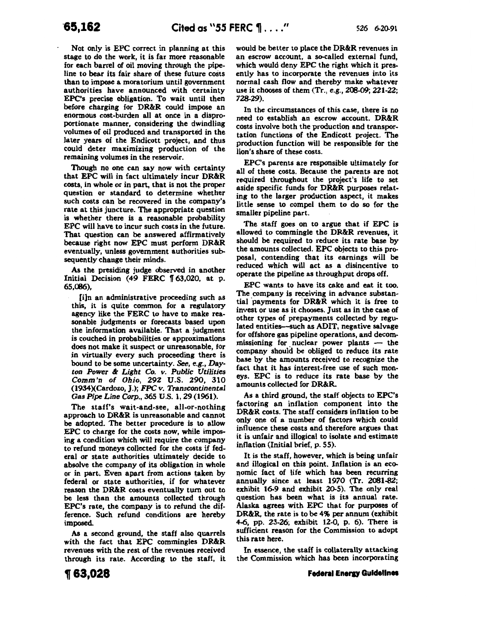Not only is EPC correct in planning at this stage to do the work, it is far more reasonable for each barrel of oil moving through the pipeline to bear its fair share of these future costs than to impose a moratorium until government authorities have announced with certainty EPC's precise obligation. To wait until then before charging for DR&R could impose an enormous cost-burden all at once in a disproportionate manner, considering the dwindling volumes of oil produced and transported in the later years of the Endicott project, and thus could deter maximizing production of the remaining volumes in the reservoir.

Though no one can say now with certainty that EPC will in fact ultimately incur DR&R costs, in whole or in part, that is not the proper question or standard to determine whether such costs can be recovered in the company's rate at this juncture. The appropriate question is whether there is a reasonable probability EPC will have to incur such costs in the future. That question can be answered affirmatively because right now EPC must perform DR&R eventually, unless government authorities subsequently change their minds.

As the presiding judge observed in another Initial Decision (49 FERC  $\parallel$  63,020, at p. 65,086),

[i]n an administrative proceeding such as this, it is quite common for a regulatory agency like the FERC to have to make reasonable judgments or forecasts based upon the information available. That a judgment is couched in probabilities or approximations does not make it suspect or unreasonable, for in virtually every such proceeding there is bound to be some uncertainty. See, e.g., Day*ton Power* & *Light Co. v. Public Utilities Comm'n of Ohio,* 292 U.S. 290, 310 (1934)(Cardozo, *].);FPC v. Transcontinental Gas Pipe Line Corp.,* 365 U.S. 1, 29 (1961).

The staff's wait-and-see, all-or-nothing approach to DR&R is unreasonable and cannot be adopted. The better procedure is to allow EPC to charge for the costs now, while imposing a condition which wiU require the company to refund moneys collected for the costs if federal or state authorities ultimately decide to absolve the company of its obligation in whole or in part. Even apart from actions taken by federal or state authorities, if for whatever reason the DR&R costs eventually turn out to be less than the amounts collected through EPC's rate, the company is to refund the difference. Such refund conditions are hereby imposed.

As a second ground, the staff also quarrels with the fact that EPC commingles DR&R revenues with the rest of the revenues received through its rate. According to the staff, it would be better to place the DR&R revenues in an escrow account, a so-called external fund, which would deny EPC the right which it presently has to incorporate the revenues into its normal cash flow and thereby make whatever use it chooses of them (Tr., e.g., 208-09; 221-22; 728-29).

In the circumstances of this case, there is no need to establish an escrow account. DR&R costs involve both the production and transportation functions of the Endicott project. The production function will be responsible for the lion's share of these costs.

EPC's parents are responsible ultimately for all of these costs. Because the parents are not required throughout the project's life to set aside specific funds for DR&R purposes relating to the larger production aspect, it makes little sense to compel them to do so for the smaller pipeline part.

The staff goes on to argue that if EPC is allowed to commingle the DR&R revenues, it should be required to reduce its rate base by the amounts collected. EPC objects to this proposal, contending that its earnings will be reduced which will act as a disincentive to operate the pipeline as throughput drops off.

EPC wants to have its cake and eat it too. The company is receiving in advance substantial payments for DR&R which it is free to invest or use as it chooses. Just as in the case of other types of prepayments collected by regulated entities-such as ADIT, negative salvage for offshore gas pipeline operations, and decommissioning for nuclear power plants  $-$  the company should be obliged to reduce its rate base by the amounts received to recognize the fact that it has interest-free use of such moneys. EPC is to reduce its rate base by the amounts collected for DR&R.

As a third ground, the staff objects to EPC's factoring an inflation component into the DR&R costs. The staff considers inflation to be only one of a· number of factors which could influence these costs and therefore argues that it is unfair and illogical to isolate and estimate inflation (Initial brief, p. 55).

It is the staff, however, which is being unfair and illogical on this point. Inflation is an economic fact of life which has been recurring annually since at least  $1970$  (Tr. 2081-82; exhibit 16-9 and exhibit 20-5). The only real question has been what is its annual rate. Alaska agrees with EPC that for purposes of DR&R, the rate is to be 4% per annum (exhibit 4-6, pp. 23-26; exhibit 12-0, p. 6). There is sufficient reason for the Commission to adopt this rate here.

In essence, the staff is collaterally attacking the Commission which has been incorporating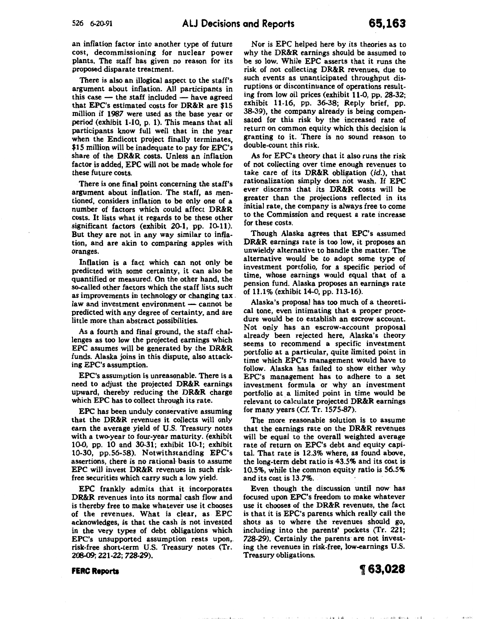an inflation factor into another type of future cost, decommissioning for nuclear power plants. The staff has given no reason for its proposed disparate treatment.

There is also an illogical aspect to the staff's argument about inflation. All participants in this case  $-$  the staff included  $-$  have agreed that EPC's estimated costs for DR&R are \$15 million if 1987 were used as the base year or period (exhibit 1-10, p. 1). This means that all participants know full well that in the year when the Endicott project finally terminates, \$15 million will be inadequate to pay for EPC's share of the DR&R costs. Unless an inflation factor is added, EPC will not be made whole for these future costs.

There is one final point concerning the staff's argument about inflation. The staff, as mentioned, considers inflation to be only one of a number of factors which could affect DR&R costs. It lists what it regards to be these other significant factors (exhibit 20-1, pp. 10-11). But they are not in any way similar to inflation, and are akin to comparing apples with oranges.

Inflation is a fact which can not only be predicted with some certainty, it can also be quantified or measured. On the other hand, the so-called other factors which the staff lists such as improvements in technology or changing tax . law and investment environment  $-$  cannot be predicted with any degree of certainty, and are little more than abstract possibilities.

As a fourth and final ground, the staff challenges as too low the projected earnings which EPC assumes will be generated by the DR&R funds. Alaska joins in this dispute, also attacking EPC's assumption.

EPC's assumption is unreasonable. There is a need to adjust the projected DR&R earnings upward, thereby reducing the DR&R charge which EPC has to collect through its rate.

EPC has been unduly conservative assuming that the DR&R revenues it collects will only earn the average yield of U.S. Treasury notes with a two-year to four-year maturity. (exhibit 10-0, pp. 10 and 30-31; exhibit 10-1; exhibit 10-30, pp.56-58). Notwithstanding EPC's assertions, there is no rational- basis to assume EPC will invest DR&R revenues in such riskfree securities which carry such a low yield.

EPC frankly admits that it incorporates DR&R revenues into its normal cash flow and is thereby free to make whatever use it chooses of the revenues. What is clear, as EPC acknowledges, is that the cash is not invested in the very types of debt obligations which EPC's unsupported assumption rests upon,. risk-free short-term U.S. Treasury notes (Tr. 208-09; 221-22; 728-29).

Nor is EPC helped here by its theories as to why the DR&R earnings should be assumed to be so low. While EPC asserts that it runs the risk of not collecting DR&R revenues, due to such events as unanticipated throughput disruptions or discontinuance of operations resulting from low oil prices (exhibit 11-0, pp. 28-32; exhibit 11-16, pp. 36-38; Reply brief, pp. 38-39), the company already is being compensated for this risk by the increased rate of return on common equity which this decision is granting to it. There is no sound reason to double-count this risk.

As for EPC's theory that it also runs the risk of not collecting over time enough revenues to take care of its DR&R obligation (id.), that rationalization simply does not wash. If EPC ever discerns that its DR&R costs will be greater than the projections reflected in its initial rate, the company is always free to come to the Commission and request a rate increase for these costs.

Though Alaska agrees that EPC's assumed DR&R earnings rate is too low, it proposes an unwieldy alternative to handle the matter. The alternative would be to adopt some type of investment portfolio, for a specific period of time, whose earnings would equal that of a pension fund. Alaska proposes an earnings rate of 11.1% (exhibit 14-0, pp. 113-16).

Alaska's proposal has too much of a theoretical tone, even intimating that a proper procedure would be to establish an escrow account. Not only has an escrow-account proposal already been rejected here, Alaska's theory seems to recommend a specific investment portfolio at a particuiar, quite limited point in time which EPC's management would have to follow. Alaska has failed to show either why EPC's management has to adhere to a set investment formula or why an investment portfolio at a limited point in time would be relevant to calculate projected DR&R earnings for many years (Cf. Tr. 1575-87).

The more reasonable solution is to assume that the earnings rate on the DR&R revenues will be equal to the overall weighted average rate of return on EPC's debt and equity capital. That rate is 12.3% where; as found above, the long-term debt ratio is 43.5% and its cost is 10.5%, while the common equity ratio is 56.5% and its cost is 13.7%.

Even though the discussion until now has focused upon EPC's freedom to make whatever use it chooses of the DR&R revenues, the fact is that it is EPC's parents which really call the shots as to where the revenues should go, including into the parents' pockets (Tr. 221; 728-29). Certainly the parents are not investing the revenues in risk-free, low-earnings U.S. Treasury obligations.

计块 主动

#### **FERC Reports**

**1[ 63,028**